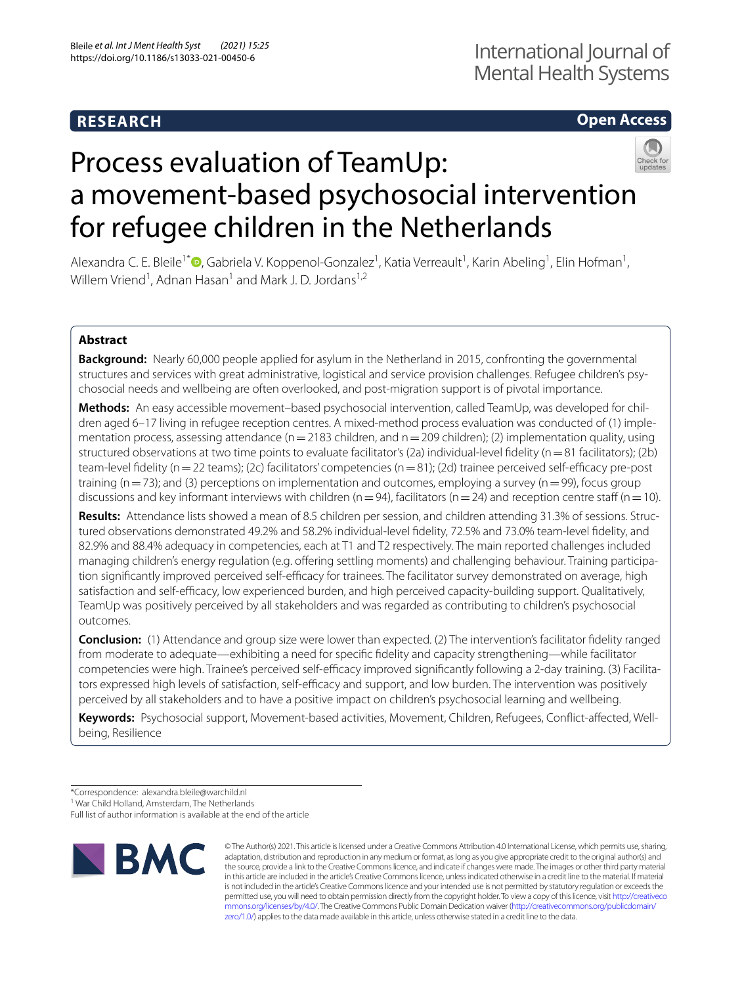# **RESEARCH**

# **Open Access**



# Process evaluation of TeamUp: a movement-based psychosocial intervention for refugee children in the Netherlands

Alexandra C. E. Bleile<sup>1[\\*](http://orcid.org/0000-0002-1507-6249)</sup><sup>®</sup>, Gabriela V. Koppenol-Gonzalez<sup>1</sup>, Katia Verreault<sup>1</sup>, Karin Abeling<sup>1</sup>, Elin Hofman<sup>1</sup>, Willem Vriend<sup>1</sup>, Adnan Hasan<sup>1</sup> and Mark J. D. Jordans<sup>1,2</sup>

## **Abstract**

**Background:** Nearly 60,000 people applied for asylum in the Netherland in 2015, confronting the governmental structures and services with great administrative, logistical and service provision challenges. Refugee children's psychosocial needs and wellbeing are often overlooked, and post-migration support is of pivotal importance.

**Methods:** An easy accessible movement–based psychosocial intervention, called TeamUp, was developed for chil‑ dren aged 6–17 living in refugee reception centres. A mixed-method process evaluation was conducted of (1) implementation process, assessing attendance ( $n=2183$  children, and  $n=209$  children); (2) implementation quality, using structured observations at two time points to evaluate facilitator's (2a) individual-level fidelity ( $n=81$  facilitators); (2b) team-level fidelity ( $n=22$  teams); (2c) facilitators' competencies ( $n=81$ ); (2d) trainee perceived self-efficacy pre-post training ( $n=73$ ); and (3) perceptions on implementation and outcomes, employing a survey ( $n=99$ ), focus group discussions and key informant interviews with children ( $n=94$ ), facilitators ( $n=24$ ) and reception centre staff ( $n=10$ ).

**Results:** Attendance lists showed a mean of 8.5 children per session, and children attending 31.3% of sessions. Struc‑ tured observations demonstrated 49.2% and 58.2% individual-level fdelity, 72.5% and 73.0% team-level fdelity, and 82.9% and 88.4% adequacy in competencies, each at T1 and T2 respectively. The main reported challenges included managing children's energy regulation (e.g. offering settling moments) and challenging behaviour. Training participation significantly improved perceived self-efficacy for trainees. The facilitator survey demonstrated on average, high satisfaction and self-efficacy, low experienced burden, and high perceived capacity-building support. Qualitatively, TeamUp was positively perceived by all stakeholders and was regarded as contributing to children's psychosocial outcomes.

**Conclusion:** (1) Attendance and group size were lower than expected. (2) The intervention's facilitator fdelity ranged from moderate to adequate—exhibiting a need for specifc fdelity and capacity strengthening—while facilitator competencies were high. Trainee's perceived self-efficacy improved significantly following a 2-day training. (3) Facilitators expressed high levels of satisfaction, self-efficacy and support, and low burden. The intervention was positively perceived by all stakeholders and to have a positive impact on children's psychosocial learning and wellbeing.

**Keywords:** Psychosocial support, Movement-based activities, Movement, Children, Refugees, Confict-afected, Wellbeing, Resilience

Full list of author information is available at the end of the article



© The Author(s) 2021. This article is licensed under a Creative Commons Attribution 4.0 International License, which permits use, sharing, adaptation, distribution and reproduction in any medium or format, as long as you give appropriate credit to the original author(s) and the source, provide a link to the Creative Commons licence, and indicate if changes were made. The images or other third party material in this article are included in the article's Creative Commons licence, unless indicated otherwise in a credit line to the material. If material is not included in the article's Creative Commons licence and your intended use is not permitted by statutory regulation or exceeds the permitted use, you will need to obtain permission directly from the copyright holder. To view a copy of this licence, visit [http://creativeco](http://creativecommons.org/licenses/by/4.0/) [mmons.org/licenses/by/4.0/.](http://creativecommons.org/licenses/by/4.0/) The Creative Commons Public Domain Dedication waiver ([http://creativecommons.org/publicdomain/](http://creativecommons.org/publicdomain/zero/1.0/) [zero/1.0/\)](http://creativecommons.org/publicdomain/zero/1.0/) applies to the data made available in this article, unless otherwise stated in a credit line to the data.

<sup>\*</sup>Correspondence: alexandra.bleile@warchild.nl

<sup>&</sup>lt;sup>1</sup> War Child Holland, Amsterdam, The Netherlands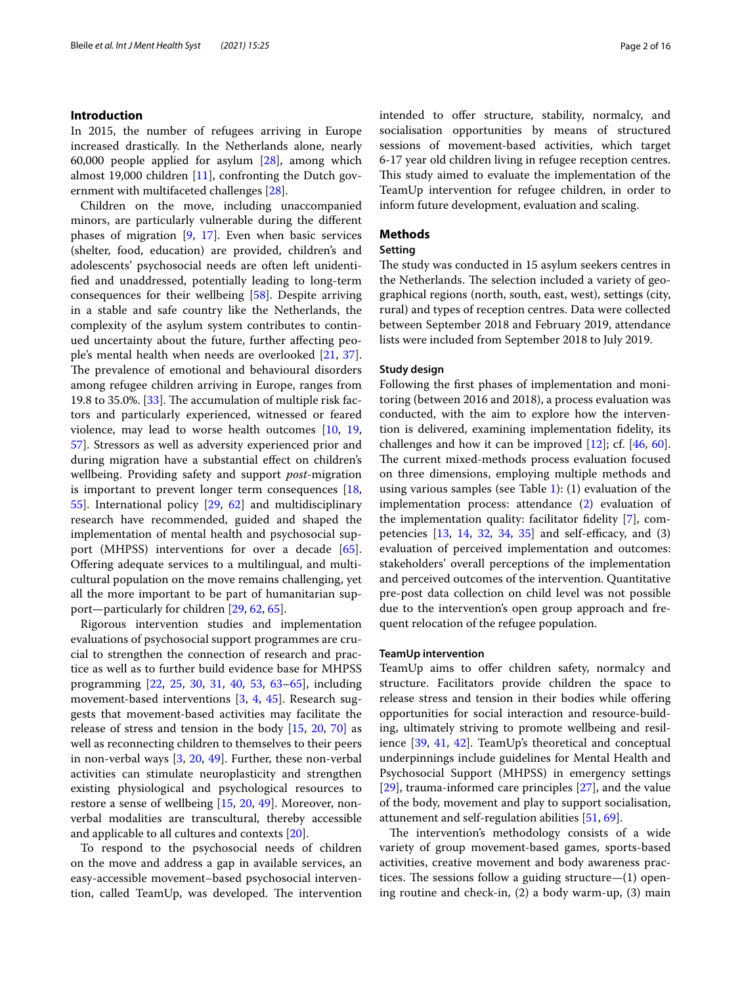#### **Introduction**

In 2015, the number of refugees arriving in Europe increased drastically. In the Netherlands alone, nearly 60,000 people applied for asylum [[28\]](#page-14-0), among which almost 19,000 children [[11](#page-14-1)], confronting the Dutch government with multifaceted challenges [\[28\]](#page-14-0).

Children on the move, including unaccompanied minors, are particularly vulnerable during the diferent phases of migration [[9,](#page-14-2) [17](#page-14-3)]. Even when basic services (shelter, food, education) are provided, children's and adolescents' psychosocial needs are often left unidentifed and unaddressed, potentially leading to long-term consequences for their wellbeing [\[58](#page-15-0)]. Despite arriving in a stable and safe country like the Netherlands, the complexity of the asylum system contributes to continued uncertainty about the future, further afecting people's mental health when needs are overlooked [[21,](#page-14-4) [37](#page-14-5)]. The prevalence of emotional and behavioural disorders among refugee children arriving in Europe, ranges from 19.8 to 35.0%. [\[33\]](#page-14-6). The accumulation of multiple risk factors and particularly experienced, witnessed or feared violence, may lead to worse health outcomes [[10](#page-14-7), [19](#page-14-8), [57\]](#page-15-1). Stressors as well as adversity experienced prior and during migration have a substantial efect on children's wellbeing. Providing safety and support *post*-migration is important to prevent longer term consequences [\[18](#page-14-9), [55\]](#page-15-2). International policy [[29,](#page-14-10) [62](#page-15-3)] and multidisciplinary research have recommended, guided and shaped the implementation of mental health and psychosocial support (MHPSS) interventions for over a decade [\[65](#page-15-4)]. Ofering adequate services to a multilingual, and multicultural population on the move remains challenging, yet all the more important to be part of humanitarian support—particularly for children [\[29](#page-14-10), [62](#page-15-3), [65\]](#page-15-4).

Rigorous intervention studies and implementation evaluations of psychosocial support programmes are crucial to strengthen the connection of research and practice as well as to further build evidence base for MHPSS programming [\[22](#page-14-11), [25](#page-14-12), [30](#page-14-13), [31,](#page-14-14) [40,](#page-14-15) [53,](#page-15-5) [63–](#page-15-6)[65\]](#page-15-4), including movement-based interventions [\[3,](#page-13-0) [4,](#page-14-16) [45](#page-14-17)]. Research suggests that movement-based activities may facilitate the release of stress and tension in the body [\[15](#page-14-18), [20,](#page-14-19) [70](#page-15-7)] as well as reconnecting children to themselves to their peers in non-verbal ways [[3,](#page-13-0) [20,](#page-14-19) [49](#page-15-8)]. Further, these non-verbal activities can stimulate neuroplasticity and strengthen existing physiological and psychological resources to restore a sense of wellbeing [\[15](#page-14-18), [20](#page-14-19), [49](#page-15-8)]. Moreover, nonverbal modalities are transcultural, thereby accessible and applicable to all cultures and contexts [[20\]](#page-14-19).

To respond to the psychosocial needs of children on the move and address a gap in available services, an easy-accessible movement–based psychosocial intervention, called TeamUp, was developed. The intervention intended to offer structure, stability, normalcy, and socialisation opportunities by means of structured sessions of movement-based activities, which target 6-17 year old children living in refugee reception centres. This study aimed to evaluate the implementation of the TeamUp intervention for refugee children, in order to inform future development, evaluation and scaling.

#### **Methods**

#### **Setting**

The study was conducted in 15 asylum seekers centres in the Netherlands. The selection included a variety of geographical regions (north, south, east, west), settings (city, rural) and types of reception centres. Data were collected between September 2018 and February 2019, attendance lists were included from September 2018 to July 2019.

#### **Study design**

Following the frst phases of implementation and monitoring (between 2016 and 2018), a process evaluation was conducted, with the aim to explore how the intervention is delivered, examining implementation fdelity, its challenges and how it can be improved [[12\]](#page-14-20); cf. [\[46,](#page-14-21) [60](#page-15-9)]. The current mixed-methods process evaluation focused on three dimensions, employing multiple methods and using various samples (see Table [1\)](#page-2-0): (1) evaluation of the implementation process: attendance [\(2](#page-13-1)) evaluation of the implementation quality: facilitator fdelity [\[7](#page-14-22)], competencies  $[13, 14, 32, 34, 35]$  $[13, 14, 32, 34, 35]$  $[13, 14, 32, 34, 35]$  $[13, 14, 32, 34, 35]$  $[13, 14, 32, 34, 35]$  $[13, 14, 32, 34, 35]$  $[13, 14, 32, 34, 35]$  $[13, 14, 32, 34, 35]$  $[13, 14, 32, 34, 35]$  $[13, 14, 32, 34, 35]$  $[13, 14, 32, 34, 35]$  and self-efficacy, and  $(3)$ evaluation of perceived implementation and outcomes: stakeholders' overall perceptions of the implementation and perceived outcomes of the intervention. Quantitative pre-post data collection on child level was not possible due to the intervention's open group approach and frequent relocation of the refugee population.

#### **TeamUp intervention**

TeamUp aims to offer children safety, normalcy and structure. Facilitators provide children the space to release stress and tension in their bodies while ofering opportunities for social interaction and resource-building, ultimately striving to promote wellbeing and resilience [[39,](#page-14-28) [41,](#page-14-29) [42](#page-14-30)]. TeamUp's theoretical and conceptual underpinnings include guidelines for Mental Health and Psychosocial Support (MHPSS) in emergency settings [[29\]](#page-14-10), trauma-informed care principles [[27](#page-14-31)], and the value of the body, movement and play to support socialisation, attunement and self-regulation abilities [\[51](#page-15-10), [69\]](#page-15-11).

The intervention's methodology consists of a wide variety of group movement-based games, sports-based activities, creative movement and body awareness practices. The sessions follow a guiding structure— $(1)$  opening routine and check-in, (2) a body warm-up, (3) main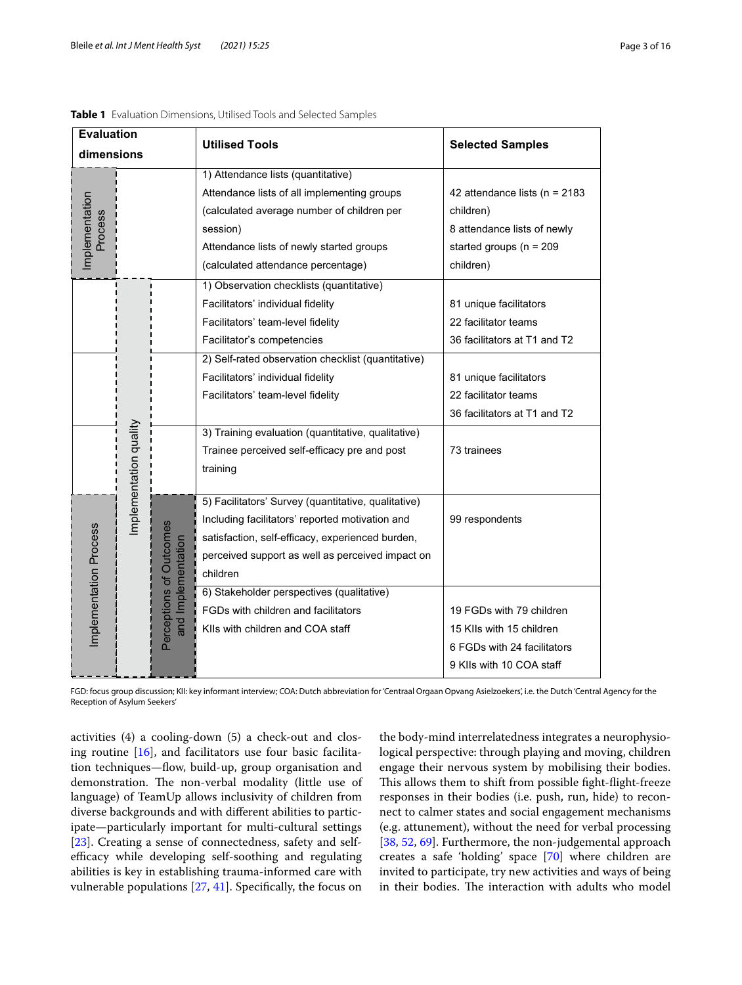| <b>Evaluation</b>         |                        |                                               | <b>Utilised Tools</b>                               | <b>Selected Samples</b>          |  |                                                 |                |
|---------------------------|------------------------|-----------------------------------------------|-----------------------------------------------------|----------------------------------|--|-------------------------------------------------|----------------|
| dimensions                |                        |                                               |                                                     |                                  |  |                                                 |                |
|                           |                        |                                               | 1) Attendance lists (quantitative)                  |                                  |  |                                                 |                |
|                           |                        |                                               | Attendance lists of all implementing groups         | 42 attendance lists ( $n = 2183$ |  |                                                 |                |
| Implementation<br>Process |                        |                                               | (calculated average number of children per          | children)                        |  |                                                 |                |
|                           |                        |                                               | session)                                            | 8 attendance lists of newly      |  |                                                 |                |
|                           |                        |                                               | Attendance lists of newly started groups            | started groups ( $n = 209$       |  |                                                 |                |
|                           |                        |                                               | (calculated attendance percentage)                  | children)                        |  |                                                 |                |
|                           |                        |                                               | 1) Observation checklists (quantitative)            |                                  |  |                                                 |                |
|                           |                        |                                               | Facilitators' individual fidelity                   | 81 unique facilitators           |  |                                                 |                |
|                           |                        |                                               | Facilitators' team-level fidelity                   | 22 facilitator teams             |  |                                                 |                |
|                           |                        |                                               | Facilitator's competencies                          | 36 facilitators at T1 and T2     |  |                                                 |                |
|                           |                        |                                               | 2) Self-rated observation checklist (quantitative)  |                                  |  |                                                 |                |
|                           |                        |                                               | Facilitators' individual fidelity                   | 81 unique facilitators           |  |                                                 |                |
|                           |                        |                                               | Facilitators' team-level fidelity                   | 22 facilitator teams             |  |                                                 |                |
|                           |                        |                                               |                                                     | 36 facilitators at T1 and T2     |  |                                                 |                |
|                           |                        |                                               | 3) Training evaluation (quantitative, qualitative)  |                                  |  |                                                 |                |
|                           |                        |                                               | Trainee perceived self-efficacy pre and post        | 73 trainees                      |  |                                                 |                |
|                           | Implementation quality |                                               | training                                            |                                  |  |                                                 |                |
|                           |                        |                                               |                                                     |                                  |  |                                                 |                |
|                           |                        |                                               | 5) Facilitators' Survey (quantitative, qualitative) |                                  |  |                                                 |                |
|                           |                        |                                               |                                                     |                                  |  | Including facilitators' reported motivation and | 99 respondents |
|                           |                        |                                               | satisfaction, self-efficacy, experienced burden,    |                                  |  |                                                 |                |
| Implementation Process    |                        | Perceptions of Outcomes<br>and Implementation | perceived support as well as perceived impact on    |                                  |  |                                                 |                |
|                           |                        |                                               | children                                            |                                  |  |                                                 |                |
|                           |                        |                                               | 6) Stakeholder perspectives (qualitative)           |                                  |  |                                                 |                |
|                           |                        |                                               | FGDs with children and facilitators                 | 19 FGDs with 79 children         |  |                                                 |                |
|                           |                        |                                               | KIIs with children and COA staff                    | 15 KIIs with 15 children         |  |                                                 |                |
|                           |                        |                                               |                                                     | 6 FGDs with 24 facilitators      |  |                                                 |                |
|                           |                        |                                               |                                                     | 9 KIIs with 10 COA staff         |  |                                                 |                |

<span id="page-2-0"></span>

| Table 1 Evaluation Dimensions, Utilised Tools and Selected Samples |  |
|--------------------------------------------------------------------|--|
|--------------------------------------------------------------------|--|

FGD: focus group discussion; KII: key informant interview; COA: Dutch abbreviation for 'Centraal Orgaan Opvang Asielzoekers', i.e. the Dutch 'Central Agency for the Reception of Asylum Seekers'

activities (4) a cooling-down (5) a check-out and closing routine [[16](#page-14-32)], and facilitators use four basic facilitation techniques—fow, build-up, group organisation and demonstration. The non-verbal modality (little use of language) of TeamUp allows inclusivity of children from diverse backgrounds and with diferent abilities to participate—particularly important for multi-cultural settings [[23\]](#page-14-33). Creating a sense of connectedness, safety and selfefficacy while developing self-soothing and regulating abilities is key in establishing trauma-informed care with vulnerable populations [\[27](#page-14-31), [41](#page-14-29)]. Specifcally, the focus on

the body-mind interrelatedness integrates a neurophysiological perspective: through playing and moving, children engage their nervous system by mobilising their bodies. This allows them to shift from possible fight-flight-freeze responses in their bodies (i.e. push, run, hide) to reconnect to calmer states and social engagement mechanisms (e.g. attunement), without the need for verbal processing [[38,](#page-14-34) [52](#page-15-12), [69\]](#page-15-11). Furthermore, the non-judgemental approach creates a safe 'holding' space [\[70](#page-15-7)] where children are invited to participate, try new activities and ways of being in their bodies. The interaction with adults who model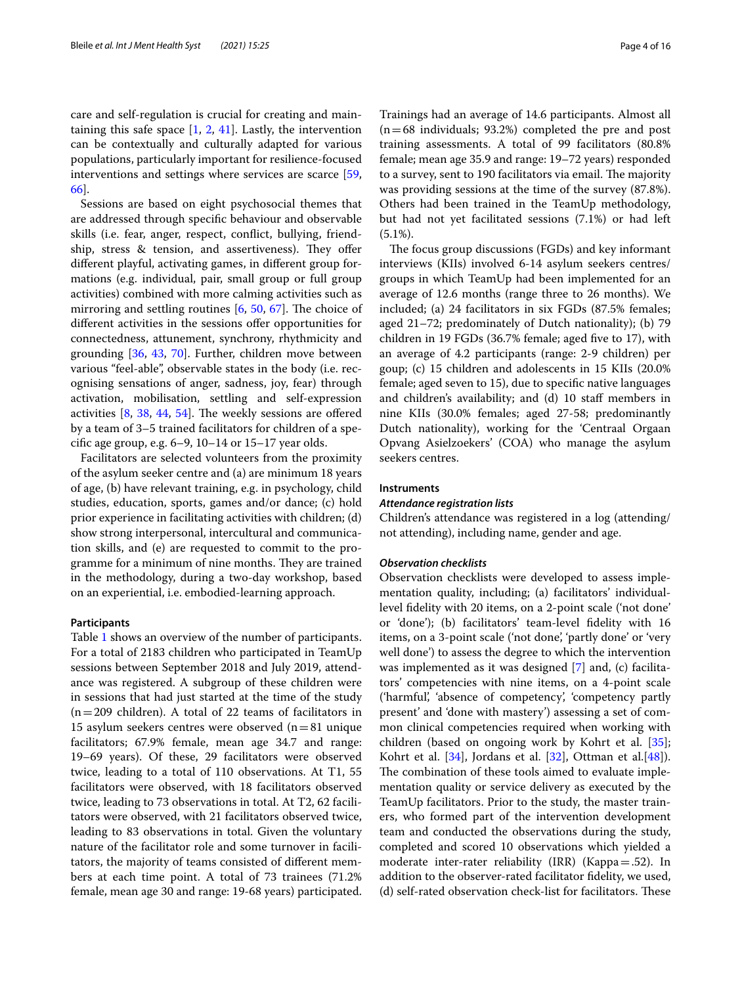care and self-regulation is crucial for creating and maintaining this safe space  $[1, 2, 41]$  $[1, 2, 41]$  $[1, 2, 41]$  $[1, 2, 41]$  $[1, 2, 41]$  $[1, 2, 41]$ . Lastly, the intervention can be contextually and culturally adapted for various populations, particularly important for resilience-focused interventions and settings where services are scarce [\[59](#page-15-13), [66\]](#page-15-14).

Sessions are based on eight psychosocial themes that are addressed through specifc behaviour and observable skills (i.e. fear, anger, respect, confict, bullying, friendship, stress & tension, and assertiveness). They offer diferent playful, activating games, in diferent group formations (e.g. individual, pair, small group or full group activities) combined with more calming activities such as mirroring and settling routines  $[6, 50, 67]$  $[6, 50, 67]$  $[6, 50, 67]$  $[6, 50, 67]$  $[6, 50, 67]$  $[6, 50, 67]$ . The choice of diferent activities in the sessions ofer opportunities for connectedness, attunement, synchrony, rhythmicity and grounding [\[36,](#page-14-36) [43,](#page-14-37) [70](#page-15-7)]. Further, children move between various "feel-able", observable states in the body (i.e. recognising sensations of anger, sadness, joy, fear) through activation, mobilisation, settling and self-expression activities  $[8, 38, 44, 54]$  $[8, 38, 44, 54]$  $[8, 38, 44, 54]$  $[8, 38, 44, 54]$  $[8, 38, 44, 54]$  $[8, 38, 44, 54]$  $[8, 38, 44, 54]$  $[8, 38, 44, 54]$ . The weekly sessions are offered by a team of 3–5 trained facilitators for children of a specifc age group, e.g. 6–9, 10–14 or 15–17 year olds.

Facilitators are selected volunteers from the proximity of the asylum seeker centre and (a) are minimum 18 years of age, (b) have relevant training, e.g. in psychology, child studies, education, sports, games and/or dance; (c) hold prior experience in facilitating activities with children; (d) show strong interpersonal, intercultural and communication skills, and (e) are requested to commit to the programme for a minimum of nine months. They are trained in the methodology, during a two-day workshop, based on an experiential, i.e. embodied-learning approach.

#### **Participants**

Table [1](#page-2-0) shows an overview of the number of participants. For a total of 2183 children who participated in TeamUp sessions between September 2018 and July 2019, attendance was registered. A subgroup of these children were in sessions that had just started at the time of the study  $(n=209 \text{ children})$ . A total of 22 teams of facilitators in 15 asylum seekers centres were observed  $(n=81)$  unique facilitators; 67.9% female, mean age 34.7 and range: 19–69 years). Of these, 29 facilitators were observed twice, leading to a total of 110 observations. At T1, 55 facilitators were observed, with 18 facilitators observed twice, leading to 73 observations in total. At T2, 62 facilitators were observed, with 21 facilitators observed twice, leading to 83 observations in total. Given the voluntary nature of the facilitator role and some turnover in facilitators, the majority of teams consisted of diferent members at each time point. A total of 73 trainees (71.2% female, mean age 30 and range: 19-68 years) participated. Trainings had an average of 14.6 participants. Almost all  $(n=68$  individuals; 93.2%) completed the pre and post training assessments. A total of 99 facilitators (80.8% female; mean age 35.9 and range: 19–72 years) responded to a survey, sent to 190 facilitators via email. The majority was providing sessions at the time of the survey (87.8%). Others had been trained in the TeamUp methodology, but had not yet facilitated sessions (7.1%) or had left  $(5.1\%)$ .

The focus group discussions (FGDs) and key informant interviews (KIIs) involved 6-14 asylum seekers centres/ groups in which TeamUp had been implemented for an average of 12.6 months (range three to 26 months). We included; (a) 24 facilitators in six FGDs (87.5% females; aged 21–72; predominately of Dutch nationality); (b) 79 children in 19 FGDs (36.7% female; aged five to 17), with an average of 4.2 participants (range: 2-9 children) per goup; (c) 15 children and adolescents in 15 KIIs (20.0% female; aged seven to 15), due to specifc native languages and children's availability; and (d) 10 staff members in nine KIIs (30.0% females; aged 27-58; predominantly Dutch nationality), working for the 'Centraal Orgaan Opvang Asielzoekers' (COA) who manage the asylum seekers centres.

#### **Instruments**

#### *Attendance registration lists*

Children's attendance was registered in a log (attending/ not attending), including name, gender and age.

#### *Observation checklists*

Observation checklists were developed to assess implementation quality, including; (a) facilitators' individuallevel fdelity with 20 items, on a 2-point scale ('not done' or 'done'); (b) facilitators' team-level fdelity with 16 items, on a 3-point scale ('not done', 'partly done' or 'very well done') to assess the degree to which the intervention was implemented as it was designed [\[7](#page-14-22)] and, (c) facilitators' competencies with nine items, on a 4-point scale ('harmful', 'absence of competency', 'competency partly present' and 'done with mastery') assessing a set of common clinical competencies required when working with children (based on ongoing work by Kohrt et al. [\[35](#page-14-27)]; Kohrt et al.  $[34]$ , Jordans et al.  $[32]$  $[32]$ , Ottman et al. $[48]$ ). The combination of these tools aimed to evaluate implementation quality or service delivery as executed by the TeamUp facilitators. Prior to the study, the master trainers, who formed part of the intervention development team and conducted the observations during the study, completed and scored 10 observations which yielded a moderate inter-rater reliability (IRR) (Kappa=.52). In addition to the observer-rated facilitator fdelity, we used, (d) self-rated observation check-list for facilitators. These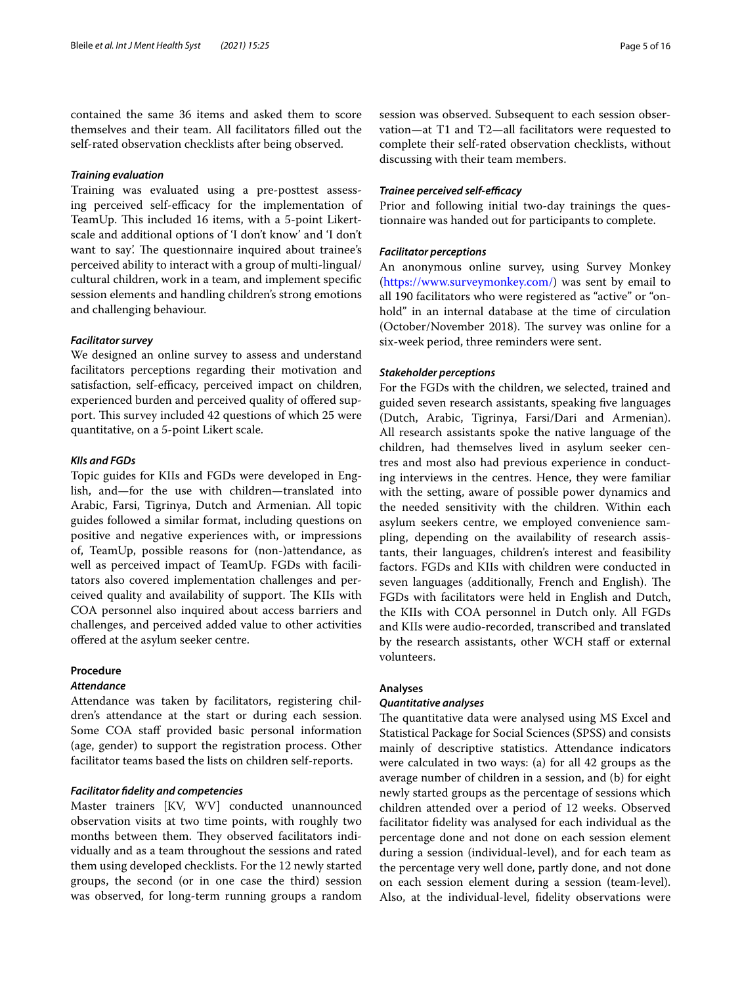contained the same 36 items and asked them to score themselves and their team. All facilitators flled out the self-rated observation checklists after being observed.

#### *Training evaluation*

Training was evaluated using a pre-posttest assessing perceived self-efficacy for the implementation of TeamUp. This included 16 items, with a 5-point Likertscale and additional options of 'I don't know' and 'I don't want to say'. The questionnaire inquired about trainee's perceived ability to interact with a group of multi-lingual/ cultural children, work in a team, and implement specifc session elements and handling children's strong emotions and challenging behaviour.

#### *Facilitator survey*

We designed an online survey to assess and understand facilitators perceptions regarding their motivation and satisfaction, self-efficacy, perceived impact on children, experienced burden and perceived quality of offered support. This survey included 42 questions of which 25 were quantitative, on a 5-point Likert scale.

#### *KIIs and FGDs*

Topic guides for KIIs and FGDs were developed in English, and—for the use with children—translated into Arabic, Farsi, Tigrinya, Dutch and Armenian. All topic guides followed a similar format, including questions on positive and negative experiences with, or impressions of, TeamUp, possible reasons for (non-)attendance, as well as perceived impact of TeamUp. FGDs with facilitators also covered implementation challenges and perceived quality and availability of support. The KIIs with COA personnel also inquired about access barriers and challenges, and perceived added value to other activities ofered at the asylum seeker centre.

#### **Procedure**

#### *Attendance*

Attendance was taken by facilitators, registering children's attendance at the start or during each session. Some COA staff provided basic personal information (age, gender) to support the registration process. Other facilitator teams based the lists on children self-reports.

#### *Facilitator fdelity and competencies*

Master trainers [KV, WV] conducted unannounced observation visits at two time points, with roughly two months between them. They observed facilitators individually and as a team throughout the sessions and rated them using developed checklists. For the 12 newly started groups, the second (or in one case the third) session was observed, for long-term running groups a random session was observed. Subsequent to each session observation—at T1 and T2—all facilitators were requested to complete their self-rated observation checklists, without discussing with their team members.

#### *Trainee perceived self-efficacy*

Prior and following initial two-day trainings the questionnaire was handed out for participants to complete.

#### *Facilitator perceptions*

An anonymous online survey, using Survey Monkey (<https://www.surveymonkey.com/>) was sent by email to all 190 facilitators who were registered as "active" or "onhold" in an internal database at the time of circulation (October/November 2018). The survey was online for a six-week period, three reminders were sent.

#### *Stakeholder perceptions*

For the FGDs with the children, we selected, trained and guided seven research assistants, speaking fve languages (Dutch, Arabic, Tigrinya, Farsi/Dari and Armenian). All research assistants spoke the native language of the children, had themselves lived in asylum seeker centres and most also had previous experience in conducting interviews in the centres. Hence, they were familiar with the setting, aware of possible power dynamics and the needed sensitivity with the children. Within each asylum seekers centre, we employed convenience sampling, depending on the availability of research assistants, their languages, children's interest and feasibility factors. FGDs and KIIs with children were conducted in seven languages (additionally, French and English). The FGDs with facilitators were held in English and Dutch, the KIIs with COA personnel in Dutch only. All FGDs and KIIs were audio-recorded, transcribed and translated by the research assistants, other WCH staff or external volunteers.

#### **Analyses**

#### *Quantitative analyses*

The quantitative data were analysed using MS Excel and Statistical Package for Social Sciences (SPSS) and consists mainly of descriptive statistics. Attendance indicators were calculated in two ways: (a) for all 42 groups as the average number of children in a session, and (b) for eight newly started groups as the percentage of sessions which children attended over a period of 12 weeks. Observed facilitator fdelity was analysed for each individual as the percentage done and not done on each session element during a session (individual-level), and for each team as the percentage very well done, partly done, and not done on each session element during a session (team-level). Also, at the individual-level, fdelity observations were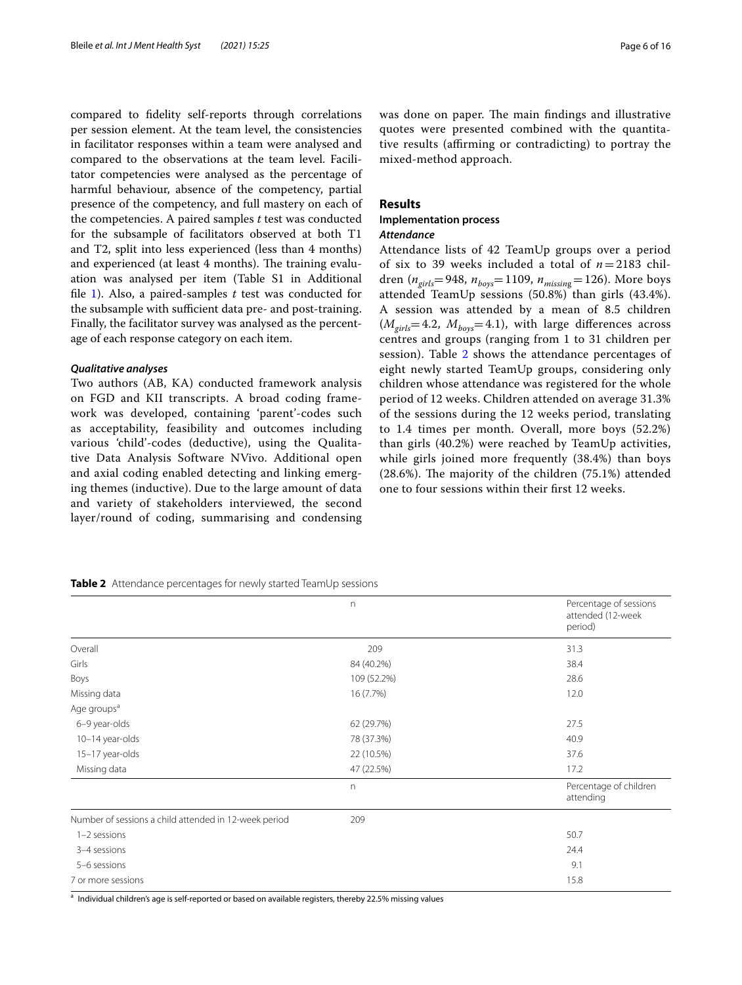compared to fdelity self-reports through correlations per session element. At the team level, the consistencies in facilitator responses within a team were analysed and compared to the observations at the team level. Facilitator competencies were analysed as the percentage of harmful behaviour, absence of the competency, partial presence of the competency, and full mastery on each of the competencies. A paired samples *t* test was conducted for the subsample of facilitators observed at both T1 and T2, split into less experienced (less than 4 months) and experienced (at least 4 months). The training evaluation was analysed per item (Table S1 in Additional fle [1\)](#page-13-3). Also, a paired-samples *t* test was conducted for the subsample with sufficient data pre- and post-training. Finally, the facilitator survey was analysed as the percentage of each response category on each item.

#### *Qualitative analyses*

Two authors (AB, KA) conducted framework analysis on FGD and KII transcripts. A broad coding framework was developed, containing 'parent'-codes such as acceptability, feasibility and outcomes including various 'child'-codes (deductive), using the Qualitative Data Analysis Software NVivo. Additional open and axial coding enabled detecting and linking emerging themes (inductive). Due to the large amount of data and variety of stakeholders interviewed, the second layer/round of coding, summarising and condensing was done on paper. The main findings and illustrative quotes were presented combined with the quantitative results (afrming or contradicting) to portray the mixed-method approach.

#### **Results**

#### **Implementation process** *Attendance*

Attendance lists of 42 TeamUp groups over a period of six to 39 weeks included a total of *n*=2183 children (*ngirls*=948, *nboys*=1109, *nmissin*g=126). More boys attended TeamUp sessions (50.8%) than girls (43.4%). A session was attended by a mean of 8.5 children  $(M<sub>girls</sub>=4.2, M<sub>boys</sub>=4.1)$ , with large differences across centres and groups (ranging from 1 to 31 children per session). Table [2](#page-5-0) shows the attendance percentages of eight newly started TeamUp groups, considering only children whose attendance was registered for the whole period of 12 weeks. Children attended on average 31.3% of the sessions during the 12 weeks period, translating to 1.4 times per month. Overall, more boys (52.2%) than girls (40.2%) were reached by TeamUp activities, while girls joined more frequently (38.4%) than boys  $(28.6%)$ . The majority of the children  $(75.1%)$  attended one to four sessions within their frst 12 weeks.

<span id="page-5-0"></span>**Table 2** Attendance percentages for newly started TeamUp sessions

|                                                       | n            | Percentage of sessions<br>attended (12-week<br>period) |
|-------------------------------------------------------|--------------|--------------------------------------------------------|
| Overall                                               | 209          | 31.3                                                   |
| Girls                                                 | 84 (40.2%)   | 38.4                                                   |
| Boys                                                  | 109 (52.2%)  | 28.6                                                   |
| Missing data                                          | 16 (7.7%)    | 12.0                                                   |
| Age groups <sup>a</sup>                               |              |                                                        |
| 6-9 year-olds                                         | 62 (29.7%)   | 27.5                                                   |
| 10-14 year-olds                                       | 78 (37.3%)   | 40.9                                                   |
| 15-17 year-olds                                       | 22 (10.5%)   | 37.6                                                   |
| Missing data                                          | 47 (22.5%)   | 17.2                                                   |
|                                                       | $\mathsf{n}$ | Percentage of children<br>attending                    |
| Number of sessions a child attended in 12-week period | 209          |                                                        |
| $1-2$ sessions                                        |              | 50.7                                                   |
| 3-4 sessions                                          |              | 24.4                                                   |
| 5-6 sessions                                          |              | 9.1                                                    |
| 7 or more sessions                                    |              | 15.8                                                   |

<sup>a</sup> Individual children's age is self-reported or based on available registers, thereby 22.5% missing values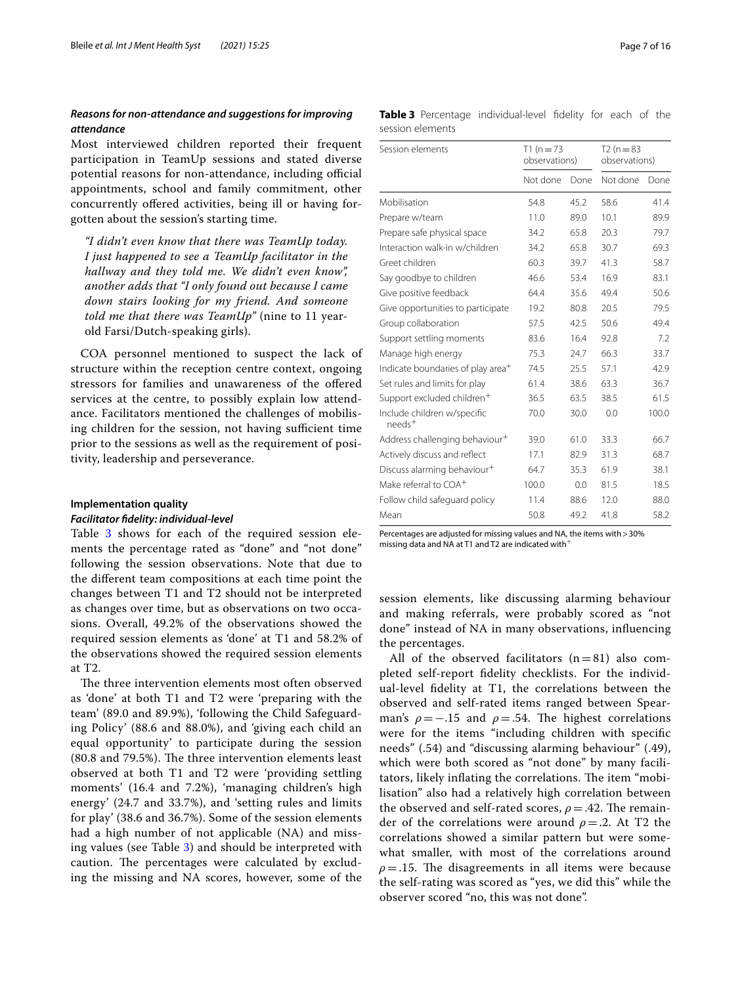#### *Reasons for non‑attendance and suggestions for improving attendance*

Most interviewed children reported their frequent participation in TeamUp sessions and stated diverse potential reasons for non-attendance, including official appointments, school and family commitment, other concurrently ofered activities, being ill or having forgotten about the session's starting time.

*"I didn't even know that there was TeamUp today. I just happened to see a TeamUp facilitator in the hallway and they told me. We didn't even know", another adds that "I only found out because I came down stairs looking for my friend. And someone told me that there was TeamUp"* (nine to 11 yearold Farsi/Dutch-speaking girls).

COA personnel mentioned to suspect the lack of structure within the reception centre context, ongoing stressors for families and unawareness of the ofered services at the centre, to possibly explain low attendance. Facilitators mentioned the challenges of mobilising children for the session, not having sufficient time prior to the sessions as well as the requirement of positivity, leadership and perseverance.

#### **Implementation quality**

#### *Facilitator fdelity: individual‑level*

Table [3](#page-6-0) shows for each of the required session elements the percentage rated as "done" and "not done" following the session observations. Note that due to the diferent team compositions at each time point the changes between T1 and T2 should not be interpreted as changes over time, but as observations on two occasions. Overall, 49.2% of the observations showed the required session elements as 'done' at T1 and 58.2% of the observations showed the required session elements at T2.

The three intervention elements most often observed as 'done' at both T1 and T2 were 'preparing with the team' (89.0 and 89.9%), 'following the Child Safeguarding Policy' (88.6 and 88.0%), and 'giving each child an equal opportunity' to participate during the session  $(80.8 \text{ and } 79.5\%)$ . The three intervention elements least observed at both T1 and T2 were 'providing settling moments' (16.4 and 7.2%), 'managing children's high energy' (24.7 and 33.7%), and 'setting rules and limits for play' (38.6 and 36.7%). Some of the session elements had a high number of not applicable (NA) and missing values (see Table [3](#page-6-0)) and should be interpreted with caution. The percentages were calculated by excluding the missing and NA scores, however, some of the

<span id="page-6-0"></span>

|                  | Table 3 Percentage individual-level fidelity for each of the |  |  |  |
|------------------|--------------------------------------------------------------|--|--|--|
| session elements |                                                              |  |  |  |

| Session elements                              | $T1(n=73)$<br>observations) |      | $T2(n=83)$<br>observations) |       |
|-----------------------------------------------|-----------------------------|------|-----------------------------|-------|
|                                               | Not done                    | Done | Not done                    | Done  |
| Mobilisation                                  | 54.8                        | 45.2 | 58.6                        | 41.4  |
| Prepare w/team                                | 11.0                        | 89.0 | 10.1                        | 89.9  |
| Prepare safe physical space                   | 34.2                        | 65.8 | 20.3                        | 79.7  |
| Interaction walk-in w/children                | 34.2                        | 65.8 | 30.7                        | 69.3  |
| Greet children                                | 60.3                        | 39.7 | 41.3                        | 58.7  |
| Say goodbye to children                       | 46.6                        | 53.4 | 16.9                        | 83.1  |
| Give positive feedback                        | 64.4                        | 35.6 | 49.4                        | 50.6  |
| Give opportunities to participate             | 19.2                        | 80.8 | 20.5                        | 79.5  |
| Group collaboration                           | 57.5                        | 42.5 | 50.6                        | 49.4  |
| Support settling moments                      | 83.6                        | 16.4 | 92.8                        | 7.2   |
| Manage high energy                            | 75.3                        | 24.7 | 66.3                        | 33.7  |
| Indicate boundaries of play area <sup>+</sup> | 74.5                        | 25.5 | 57.1                        | 42.9  |
| Set rules and limits for play                 | 61.4                        | 38.6 | 63.3                        | 36.7  |
| Support excluded children <sup>+</sup>        | 36.5                        | 63.5 | 38.5                        | 61.5  |
| Include children w/specific<br>$need+$        | 70.0                        | 30.0 | 0.0                         | 100.0 |
| Address challenging behaviour <sup>+</sup>    | 39.0                        | 61.0 | 33.3                        | 66.7  |
| Actively discuss and reflect                  | 17.1                        | 82.9 | 31.3                        | 68.7  |
| Discuss alarming behaviour <sup>+</sup>       | 64.7                        | 35.3 | 61.9                        | 38.1  |
| Make referral to COA <sup>+</sup>             | 100.0                       | 0.0  | 81.5                        | 18.5  |
| Follow child safeguard policy                 | 11.4                        | 88.6 | 12.0                        | 88.0  |
| Mean                                          | 50.8                        | 49.2 | 41.8                        | 58.2  |

Percentages are adjusted for missing values and NA, the items with > 30% missing data and NA at T1 and T2 are indicated with

session elements, like discussing alarming behaviour and making referrals, were probably scored as "not done" instead of NA in many observations, infuencing the percentages.

All of the observed facilitators  $(n=81)$  also completed self-report fdelity checklists. For the individual-level fdelity at T1, the correlations between the observed and self-rated items ranged between Spearman's  $\rho = -.15$  and  $\rho = .54$ . The highest correlations were for the items "including children with specifc needs" (.54) and "discussing alarming behaviour" (.49), which were both scored as "not done" by many facilitators, likely inflating the correlations. The item "mobilisation" also had a relatively high correlation between the observed and self-rated scores,  $\rho = .42$ . The remainder of the correlations were around *ρ*=.2. At T2 the correlations showed a similar pattern but were somewhat smaller, with most of the correlations around  $\rho = 0.15$ . The disagreements in all items were because the self-rating was scored as "yes, we did this" while the observer scored "no, this was not done".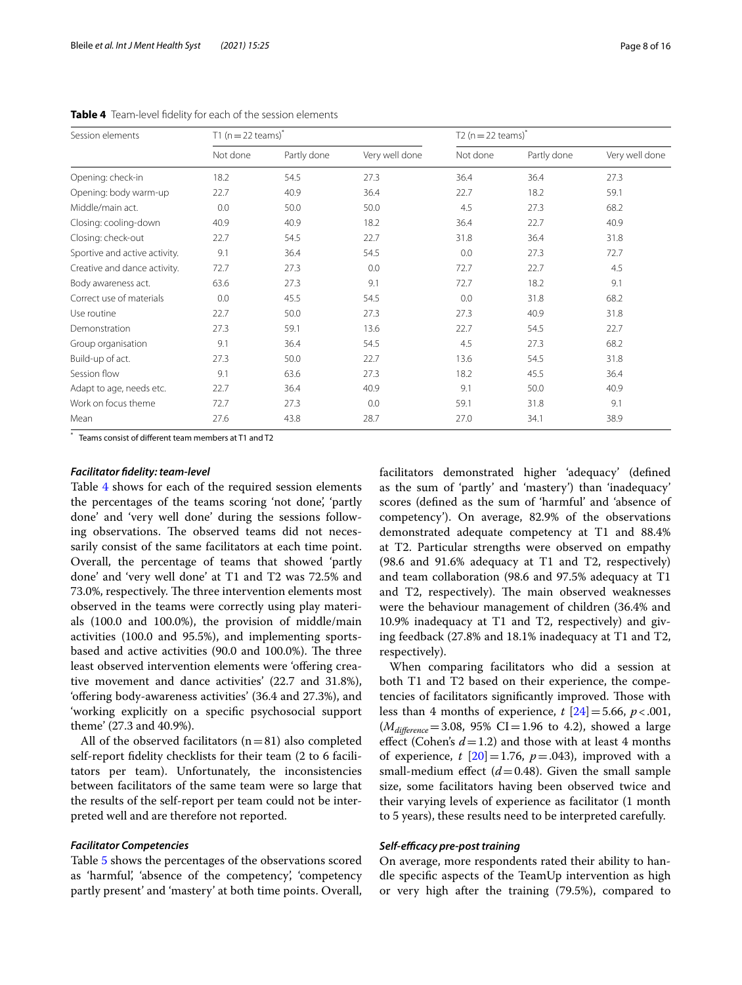| Session elements              | T1 ( $n = 22$ teams) <sup>*</sup> |             |                | T2 ( $n = 22$ teams) <sup>*</sup> |             |                |  |
|-------------------------------|-----------------------------------|-------------|----------------|-----------------------------------|-------------|----------------|--|
|                               | Not done                          | Partly done | Very well done | Not done                          | Partly done | Very well done |  |
| Opening: check-in             | 18.2                              | 54.5        | 27.3           | 36.4                              | 36.4        | 27.3           |  |
| Opening: body warm-up         | 22.7                              | 40.9        | 36.4           | 22.7                              | 18.2        | 59.1           |  |
| Middle/main act.              | 0.0                               | 50.0        | 50.0           | 4.5                               | 27.3        | 68.2           |  |
| Closing: cooling-down         | 40.9                              | 40.9        | 18.2           | 36.4                              | 22.7        | 40.9           |  |
| Closing: check-out            | 22.7                              | 54.5        | 22.7           | 31.8                              | 36.4        | 31.8           |  |
| Sportive and active activity. | 9.1                               | 36.4        | 54.5           | 0.0                               | 27.3        | 72.7           |  |
| Creative and dance activity.  | 72.7                              | 27.3        | 0.0            | 72.7                              | 22.7        | 4.5            |  |
| Body awareness act.           | 63.6                              | 27.3        | 9.1            | 72.7                              | 18.2        | 9.1            |  |
| Correct use of materials      | 0.0                               | 45.5        | 54.5           | 0.0                               | 31.8        | 68.2           |  |
| Use routine                   | 22.7                              | 50.0        | 27.3           | 27.3                              | 40.9        | 31.8           |  |
| Demonstration                 | 27.3                              | 59.1        | 13.6           | 22.7                              | 54.5        | 22.7           |  |
| Group organisation            | 9.1                               | 36.4        | 54.5           | 4.5                               | 27.3        | 68.2           |  |
| Build-up of act.              | 27.3                              | 50.0        | 22.7           | 13.6                              | 54.5        | 31.8           |  |
| Session flow                  | 9.1                               | 63.6        | 27.3           | 18.2                              | 45.5        | 36.4           |  |
| Adapt to age, needs etc.      | 22.7                              | 36.4        | 40.9           | 9.1                               | 50.0        | 40.9           |  |
| Work on focus theme           | 72.7                              | 27.3        | 0.0            | 59.1                              | 31.8        | 9.1            |  |
| Mean                          | 27.6                              | 43.8        | 28.7           | 27.0                              | 34.1        | 38.9           |  |

<span id="page-7-0"></span>**Table 4** Team-level fdelity for each of the session elements

\* Teams consist of diferent team members at T1 and T2

#### *Facilitator fdelity: team‑level*

Table [4](#page-7-0) shows for each of the required session elements the percentages of the teams scoring 'not done', 'partly done' and 'very well done' during the sessions following observations. The observed teams did not necessarily consist of the same facilitators at each time point. Overall, the percentage of teams that showed 'partly done' and 'very well done' at T1 and T2 was 72.5% and 73.0%, respectively. The three intervention elements most observed in the teams were correctly using play materials (100.0 and 100.0%), the provision of middle/main activities (100.0 and 95.5%), and implementing sportsbased and active activities (90.0 and 100.0%). The three least observed intervention elements were 'offering creative movement and dance activities' (22.7 and 31.8%), 'ofering body-awareness activities' (36.4 and 27.3%), and 'working explicitly on a specifc psychosocial support theme' (27.3 and 40.9%).

All of the observed facilitators  $(n=81)$  also completed self-report fdelity checklists for their team (2 to 6 facilitators per team). Unfortunately, the inconsistencies between facilitators of the same team were so large that the results of the self-report per team could not be interpreted well and are therefore not reported.

#### *Facilitator Competencies*

Table [5](#page-8-0) shows the percentages of the observations scored as 'harmful', 'absence of the competency', 'competency partly present' and 'mastery' at both time points. Overall, facilitators demonstrated higher 'adequacy' (defned as the sum of 'partly' and 'mastery') than 'inadequacy' scores (defned as the sum of 'harmful' and 'absence of competency'). On average, 82.9% of the observations demonstrated adequate competency at T1 and 88.4% at T2. Particular strengths were observed on empathy (98.6 and 91.6% adequacy at T1 and T2, respectively) and team collaboration (98.6 and 97.5% adequacy at T1 and T2, respectively). The main observed weaknesses were the behaviour management of children (36.4% and 10.9% inadequacy at T1 and T2, respectively) and giving feedback (27.8% and 18.1% inadequacy at T1 and T2, respectively).

When comparing facilitators who did a session at both T1 and T2 based on their experience, the competencies of facilitators significantly improved. Those with less than 4 months of experience,  $t$   $[24] = 5.66$  $[24] = 5.66$ ,  $p < .001$ ,  $(M_{difference}=3.08, 95\% \text{ CI} = 1.96 \text{ to } 4.2)$ , showed a large effect (Cohen's  $d = 1.2$ ) and those with at least 4 months of experience,  $t$   $[20] = 1.76$  $[20] = 1.76$  $[20] = 1.76$ ,  $p = .043$ ), improved with a small-medium effect  $(d=0.48)$ . Given the small sample size, some facilitators having been observed twice and their varying levels of experience as facilitator (1 month to 5 years), these results need to be interpreted carefully.

#### *Self‑efcacy pre‑post training*

On average, more respondents rated their ability to handle specifc aspects of the TeamUp intervention as high or very high after the training (79.5%), compared to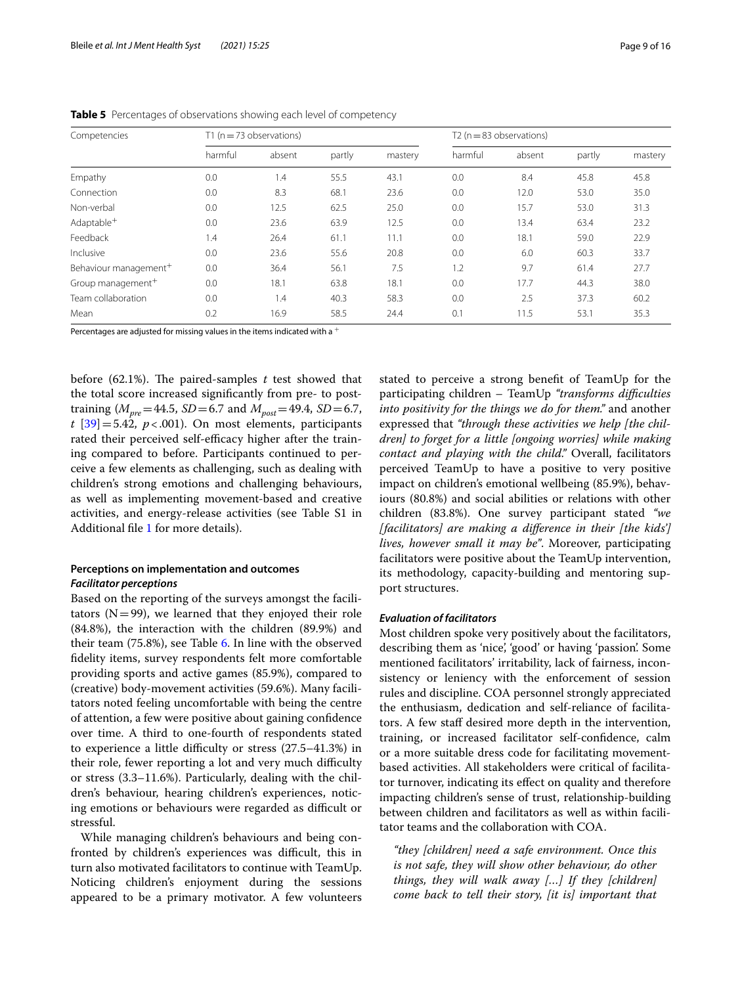| Competencies                      |         | T1 ( $n = 73$ observations) |        |         | T <sub>2</sub> ( $n = 83$ observations) |        |        |         |
|-----------------------------------|---------|-----------------------------|--------|---------|-----------------------------------------|--------|--------|---------|
|                                   | harmful | absent                      | partly | mastery | harmful                                 | absent | partly | mastery |
| Empathy                           | 0.0     | 1.4                         | 55.5   | 43.1    | 0.0                                     | 8.4    | 45.8   | 45.8    |
| Connection                        | 0.0     | 8.3                         | 68.1   | 23.6    | 0.0                                     | 12.0   | 53.0   | 35.0    |
| Non-verbal                        | 0.0     | 12.5                        | 62.5   | 25.0    | 0.0                                     | 15.7   | 53.0   | 31.3    |
| Adaptable <sup>+</sup>            | 0.0     | 23.6                        | 63.9   | 12.5    | 0.0                                     | 13.4   | 63.4   | 23.2    |
| Feedback                          | 1.4     | 26.4                        | 61.1   | 11.1    | 0.0                                     | 18.1   | 59.0   | 22.9    |
| Inclusive                         | 0.0     | 23.6                        | 55.6   | 20.8    | 0.0                                     | 6.0    | 60.3   | 33.7    |
| Behaviour management <sup>+</sup> | 0.0     | 36.4                        | 56.1   | 7.5     | 1.2                                     | 9.7    | 61.4   | 27.7    |
| Group management <sup>+</sup>     | 0.0     | 18.1                        | 63.8   | 18.1    | 0.0                                     | 17.7   | 44.3   | 38.0    |
| Team collaboration                | 0.0     | 1.4                         | 40.3   | 58.3    | 0.0                                     | 2.5    | 37.3   | 60.2    |
| Mean                              | 0.2     | 16.9                        | 58.5   | 24.4    | 0.1                                     | 11.5   | 53.1   | 35.3    |

<span id="page-8-0"></span>**Table 5** Percentages of observations showing each level of competency

Percentages are adjusted for missing values in the items indicated with a  $^+$ 

before  $(62.1\%)$ . The paired-samples t test showed that the total score increased signifcantly from pre- to posttraining ( $M_{\text{pre}} = 44.5$ , *SD* = 6.7 and  $M_{\text{post}} = 49.4$ , *SD* = 6.7,  $t$  [[39\]](#page-14-28) = 5.42,  $p < .001$ ). On most elements, participants rated their perceived self-efficacy higher after the training compared to before. Participants continued to perceive a few elements as challenging, such as dealing with children's strong emotions and challenging behaviours, as well as implementing movement-based and creative activities, and energy-release activities (see Table S1 in Additional fle [1](#page-13-3) for more details).

#### **Perceptions on implementation and outcomes** *Facilitator perceptions*

Based on the reporting of the surveys amongst the facilitators  $(N=99)$ , we learned that they enjoyed their role (84.8%), the interaction with the children (89.9%) and their team (75.8%), see Table [6.](#page-9-0) In line with the observed fdelity items, survey respondents felt more comfortable providing sports and active games (85.9%), compared to (creative) body-movement activities (59.6%). Many facilitators noted feeling uncomfortable with being the centre of attention, a few were positive about gaining confdence over time. A third to one-fourth of respondents stated to experience a little difficulty or stress  $(27.5-41.3%)$  in their role, fewer reporting a lot and very much difficulty or stress (3.3–11.6%). Particularly, dealing with the children's behaviour, hearing children's experiences, noticing emotions or behaviours were regarded as difficult or stressful.

While managing children's behaviours and being confronted by children's experiences was difficult, this in turn also motivated facilitators to continue with TeamUp. Noticing children's enjoyment during the sessions appeared to be a primary motivator. A few volunteers stated to perceive a strong beneft of TeamUp for the participating children – TeamUp *"transforms difculties into positivity for the things we do for them."* and another expressed that *"through these activities we help [the children] to forget for a little [ongoing worries] while making contact and playing with the child."* Overall, facilitators perceived TeamUp to have a positive to very positive impact on children's emotional wellbeing (85.9%), behaviours (80.8%) and social abilities or relations with other children (83.8%). One survey participant stated *"we [facilitators] are making a diference in their [the kids'] lives, however small it may be"*. Moreover, participating facilitators were positive about the TeamUp intervention, its methodology, capacity-building and mentoring support structures.

#### *Evaluation of facilitators*

Most children spoke very positively about the facilitators, describing them as 'nice', 'good' or having 'passion'. Some mentioned facilitators' irritability, lack of fairness, inconsistency or leniency with the enforcement of session rules and discipline. COA personnel strongly appreciated the enthusiasm, dedication and self-reliance of facilitators. A few staff desired more depth in the intervention, training, or increased facilitator self-confdence, calm or a more suitable dress code for facilitating movementbased activities. All stakeholders were critical of facilitator turnover, indicating its efect on quality and therefore impacting children's sense of trust, relationship-building between children and facilitators as well as within facilitator teams and the collaboration with COA.

*"they [children] need a safe environment. Once this is not safe, they will show other behaviour, do other things, they will walk away […] If they [children] come back to tell their story, [it is] important that*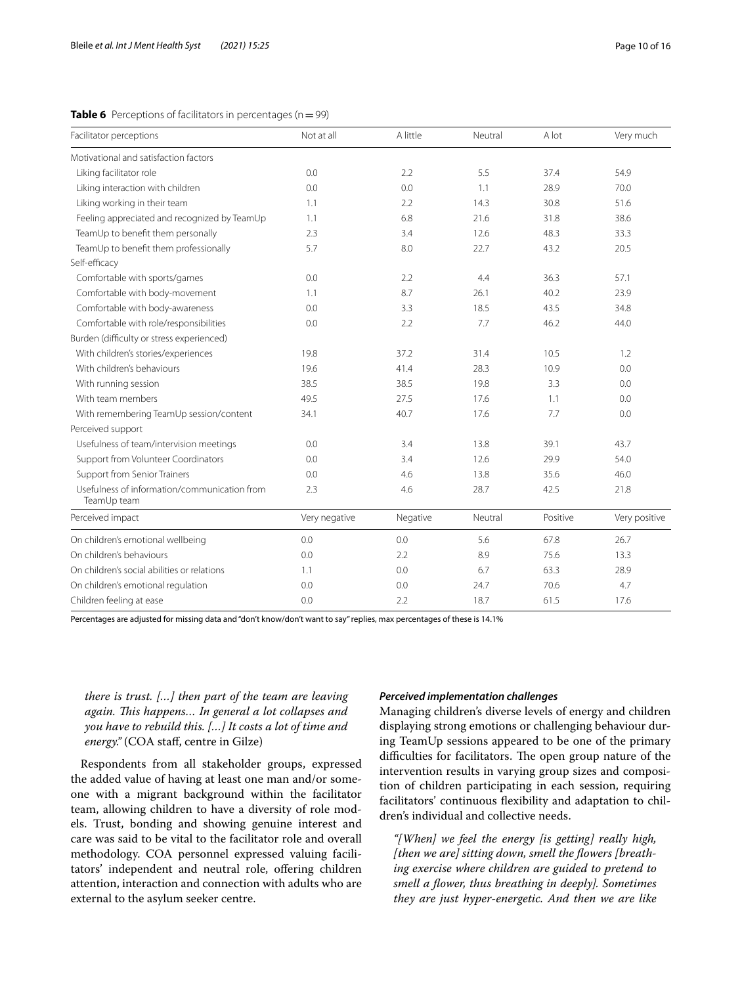#### <span id="page-9-0"></span>**Table 6** Perceptions of facilitators in percentages ( $n = 99$ )

| Motivational and satisfaction factors<br>Liking facilitator role<br>0.0<br>2.2<br>5.5<br>37.4<br>54.9<br>Liking interaction with children<br>0.0<br>0.0<br>1.1<br>28.9<br>70.0<br>Liking working in their team<br>2.2<br>14.3<br>30.8<br>1.1<br>51.6<br>Feeling appreciated and recognized by TeamUp<br>31.8<br>1.1<br>6.8<br>21.6<br>38.6<br>TeamUp to benefit them personally<br>2.3<br>3.4<br>12.6<br>48.3<br>33.3<br>TeamUp to benefit them professionally<br>5.7<br>8.0<br>22.7<br>43.2<br>20.5<br>Self-efficacy<br>Comfortable with sports/games<br>0.0<br>2.2<br>4.4<br>36.3<br>57.1<br>Comfortable with body-movement<br>8.7<br>26.1<br>40.2<br>1.1<br>23.9<br>Comfortable with body-awareness<br>0.0<br>3.3<br>18.5<br>43.5<br>34.8<br>Comfortable with role/responsibilities<br>46.2<br>0.0<br>2.2<br>7.7<br>44.0<br>Burden (difficulty or stress experienced)<br>With children's stories/experiences<br>19.8<br>37.2<br>10.5<br>31.4<br>1.2<br>With children's behaviours<br>19.6<br>41.4<br>28.3<br>10.9<br>0.0<br>38.5<br>38.5<br>3.3<br>With running session<br>19.8<br>0.0<br>With team members<br>49.5<br>27.5<br>17.6<br>1.1<br>0.0<br>With remembering TeamUp session/content<br>34.1<br>40.7<br>17.6<br>7.7<br>0.0<br>Perceived support<br>Usefulness of team/intervision meetings<br>39.1<br>0.0<br>3.4<br>13.8<br>43.7<br>Support from Volunteer Coordinators<br>0.0<br>3.4<br>29.9<br>12.6<br>54.0<br><b>Support from Senior Trainers</b><br>0.0<br>4.6<br>13.8<br>35.6<br>46.0<br>Usefulness of information/communication from<br>28.7<br>2.3<br>4.6<br>42.5<br>21.8<br>TeamUp team<br>Perceived impact<br>Very negative<br>Negative<br>Neutral<br>Positive<br>On children's emotional wellbeing<br>0.0<br>0.0<br>5.6<br>67.8<br>26.7<br>On children's behaviours<br>0.0<br>2.2<br>8.9<br>75.6<br>13.3<br>On children's social abilities or relations<br>6.7<br>63.3<br>1.1<br>0.0<br>28.9<br>On children's emotional regulation<br>0.0<br>0.0<br>24.7<br>70.6<br>4.7<br>Children feeling at ease<br>0.0<br>2.2<br>18.7<br>61.5<br>17.6 | Facilitator perceptions | Not at all | A little | Neutral | A lot | Very much     |
|----------------------------------------------------------------------------------------------------------------------------------------------------------------------------------------------------------------------------------------------------------------------------------------------------------------------------------------------------------------------------------------------------------------------------------------------------------------------------------------------------------------------------------------------------------------------------------------------------------------------------------------------------------------------------------------------------------------------------------------------------------------------------------------------------------------------------------------------------------------------------------------------------------------------------------------------------------------------------------------------------------------------------------------------------------------------------------------------------------------------------------------------------------------------------------------------------------------------------------------------------------------------------------------------------------------------------------------------------------------------------------------------------------------------------------------------------------------------------------------------------------------------------------------------------------------------------------------------------------------------------------------------------------------------------------------------------------------------------------------------------------------------------------------------------------------------------------------------------------------------------------------------------------------------------------------------------------------------------------------------------------------------------------------------------------------|-------------------------|------------|----------|---------|-------|---------------|
|                                                                                                                                                                                                                                                                                                                                                                                                                                                                                                                                                                                                                                                                                                                                                                                                                                                                                                                                                                                                                                                                                                                                                                                                                                                                                                                                                                                                                                                                                                                                                                                                                                                                                                                                                                                                                                                                                                                                                                                                                                                                |                         |            |          |         |       |               |
|                                                                                                                                                                                                                                                                                                                                                                                                                                                                                                                                                                                                                                                                                                                                                                                                                                                                                                                                                                                                                                                                                                                                                                                                                                                                                                                                                                                                                                                                                                                                                                                                                                                                                                                                                                                                                                                                                                                                                                                                                                                                |                         |            |          |         |       |               |
|                                                                                                                                                                                                                                                                                                                                                                                                                                                                                                                                                                                                                                                                                                                                                                                                                                                                                                                                                                                                                                                                                                                                                                                                                                                                                                                                                                                                                                                                                                                                                                                                                                                                                                                                                                                                                                                                                                                                                                                                                                                                |                         |            |          |         |       |               |
|                                                                                                                                                                                                                                                                                                                                                                                                                                                                                                                                                                                                                                                                                                                                                                                                                                                                                                                                                                                                                                                                                                                                                                                                                                                                                                                                                                                                                                                                                                                                                                                                                                                                                                                                                                                                                                                                                                                                                                                                                                                                |                         |            |          |         |       |               |
|                                                                                                                                                                                                                                                                                                                                                                                                                                                                                                                                                                                                                                                                                                                                                                                                                                                                                                                                                                                                                                                                                                                                                                                                                                                                                                                                                                                                                                                                                                                                                                                                                                                                                                                                                                                                                                                                                                                                                                                                                                                                |                         |            |          |         |       |               |
|                                                                                                                                                                                                                                                                                                                                                                                                                                                                                                                                                                                                                                                                                                                                                                                                                                                                                                                                                                                                                                                                                                                                                                                                                                                                                                                                                                                                                                                                                                                                                                                                                                                                                                                                                                                                                                                                                                                                                                                                                                                                |                         |            |          |         |       |               |
|                                                                                                                                                                                                                                                                                                                                                                                                                                                                                                                                                                                                                                                                                                                                                                                                                                                                                                                                                                                                                                                                                                                                                                                                                                                                                                                                                                                                                                                                                                                                                                                                                                                                                                                                                                                                                                                                                                                                                                                                                                                                |                         |            |          |         |       |               |
|                                                                                                                                                                                                                                                                                                                                                                                                                                                                                                                                                                                                                                                                                                                                                                                                                                                                                                                                                                                                                                                                                                                                                                                                                                                                                                                                                                                                                                                                                                                                                                                                                                                                                                                                                                                                                                                                                                                                                                                                                                                                |                         |            |          |         |       |               |
|                                                                                                                                                                                                                                                                                                                                                                                                                                                                                                                                                                                                                                                                                                                                                                                                                                                                                                                                                                                                                                                                                                                                                                                                                                                                                                                                                                                                                                                                                                                                                                                                                                                                                                                                                                                                                                                                                                                                                                                                                                                                |                         |            |          |         |       |               |
|                                                                                                                                                                                                                                                                                                                                                                                                                                                                                                                                                                                                                                                                                                                                                                                                                                                                                                                                                                                                                                                                                                                                                                                                                                                                                                                                                                                                                                                                                                                                                                                                                                                                                                                                                                                                                                                                                                                                                                                                                                                                |                         |            |          |         |       |               |
|                                                                                                                                                                                                                                                                                                                                                                                                                                                                                                                                                                                                                                                                                                                                                                                                                                                                                                                                                                                                                                                                                                                                                                                                                                                                                                                                                                                                                                                                                                                                                                                                                                                                                                                                                                                                                                                                                                                                                                                                                                                                |                         |            |          |         |       |               |
|                                                                                                                                                                                                                                                                                                                                                                                                                                                                                                                                                                                                                                                                                                                                                                                                                                                                                                                                                                                                                                                                                                                                                                                                                                                                                                                                                                                                                                                                                                                                                                                                                                                                                                                                                                                                                                                                                                                                                                                                                                                                |                         |            |          |         |       |               |
|                                                                                                                                                                                                                                                                                                                                                                                                                                                                                                                                                                                                                                                                                                                                                                                                                                                                                                                                                                                                                                                                                                                                                                                                                                                                                                                                                                                                                                                                                                                                                                                                                                                                                                                                                                                                                                                                                                                                                                                                                                                                |                         |            |          |         |       |               |
|                                                                                                                                                                                                                                                                                                                                                                                                                                                                                                                                                                                                                                                                                                                                                                                                                                                                                                                                                                                                                                                                                                                                                                                                                                                                                                                                                                                                                                                                                                                                                                                                                                                                                                                                                                                                                                                                                                                                                                                                                                                                |                         |            |          |         |       |               |
|                                                                                                                                                                                                                                                                                                                                                                                                                                                                                                                                                                                                                                                                                                                                                                                                                                                                                                                                                                                                                                                                                                                                                                                                                                                                                                                                                                                                                                                                                                                                                                                                                                                                                                                                                                                                                                                                                                                                                                                                                                                                |                         |            |          |         |       |               |
|                                                                                                                                                                                                                                                                                                                                                                                                                                                                                                                                                                                                                                                                                                                                                                                                                                                                                                                                                                                                                                                                                                                                                                                                                                                                                                                                                                                                                                                                                                                                                                                                                                                                                                                                                                                                                                                                                                                                                                                                                                                                |                         |            |          |         |       |               |
|                                                                                                                                                                                                                                                                                                                                                                                                                                                                                                                                                                                                                                                                                                                                                                                                                                                                                                                                                                                                                                                                                                                                                                                                                                                                                                                                                                                                                                                                                                                                                                                                                                                                                                                                                                                                                                                                                                                                                                                                                                                                |                         |            |          |         |       |               |
|                                                                                                                                                                                                                                                                                                                                                                                                                                                                                                                                                                                                                                                                                                                                                                                                                                                                                                                                                                                                                                                                                                                                                                                                                                                                                                                                                                                                                                                                                                                                                                                                                                                                                                                                                                                                                                                                                                                                                                                                                                                                |                         |            |          |         |       |               |
|                                                                                                                                                                                                                                                                                                                                                                                                                                                                                                                                                                                                                                                                                                                                                                                                                                                                                                                                                                                                                                                                                                                                                                                                                                                                                                                                                                                                                                                                                                                                                                                                                                                                                                                                                                                                                                                                                                                                                                                                                                                                |                         |            |          |         |       |               |
|                                                                                                                                                                                                                                                                                                                                                                                                                                                                                                                                                                                                                                                                                                                                                                                                                                                                                                                                                                                                                                                                                                                                                                                                                                                                                                                                                                                                                                                                                                                                                                                                                                                                                                                                                                                                                                                                                                                                                                                                                                                                |                         |            |          |         |       |               |
|                                                                                                                                                                                                                                                                                                                                                                                                                                                                                                                                                                                                                                                                                                                                                                                                                                                                                                                                                                                                                                                                                                                                                                                                                                                                                                                                                                                                                                                                                                                                                                                                                                                                                                                                                                                                                                                                                                                                                                                                                                                                |                         |            |          |         |       |               |
|                                                                                                                                                                                                                                                                                                                                                                                                                                                                                                                                                                                                                                                                                                                                                                                                                                                                                                                                                                                                                                                                                                                                                                                                                                                                                                                                                                                                                                                                                                                                                                                                                                                                                                                                                                                                                                                                                                                                                                                                                                                                |                         |            |          |         |       |               |
|                                                                                                                                                                                                                                                                                                                                                                                                                                                                                                                                                                                                                                                                                                                                                                                                                                                                                                                                                                                                                                                                                                                                                                                                                                                                                                                                                                                                                                                                                                                                                                                                                                                                                                                                                                                                                                                                                                                                                                                                                                                                |                         |            |          |         |       |               |
|                                                                                                                                                                                                                                                                                                                                                                                                                                                                                                                                                                                                                                                                                                                                                                                                                                                                                                                                                                                                                                                                                                                                                                                                                                                                                                                                                                                                                                                                                                                                                                                                                                                                                                                                                                                                                                                                                                                                                                                                                                                                |                         |            |          |         |       | Very positive |
|                                                                                                                                                                                                                                                                                                                                                                                                                                                                                                                                                                                                                                                                                                                                                                                                                                                                                                                                                                                                                                                                                                                                                                                                                                                                                                                                                                                                                                                                                                                                                                                                                                                                                                                                                                                                                                                                                                                                                                                                                                                                |                         |            |          |         |       |               |
|                                                                                                                                                                                                                                                                                                                                                                                                                                                                                                                                                                                                                                                                                                                                                                                                                                                                                                                                                                                                                                                                                                                                                                                                                                                                                                                                                                                                                                                                                                                                                                                                                                                                                                                                                                                                                                                                                                                                                                                                                                                                |                         |            |          |         |       |               |
|                                                                                                                                                                                                                                                                                                                                                                                                                                                                                                                                                                                                                                                                                                                                                                                                                                                                                                                                                                                                                                                                                                                                                                                                                                                                                                                                                                                                                                                                                                                                                                                                                                                                                                                                                                                                                                                                                                                                                                                                                                                                |                         |            |          |         |       |               |
|                                                                                                                                                                                                                                                                                                                                                                                                                                                                                                                                                                                                                                                                                                                                                                                                                                                                                                                                                                                                                                                                                                                                                                                                                                                                                                                                                                                                                                                                                                                                                                                                                                                                                                                                                                                                                                                                                                                                                                                                                                                                |                         |            |          |         |       |               |
|                                                                                                                                                                                                                                                                                                                                                                                                                                                                                                                                                                                                                                                                                                                                                                                                                                                                                                                                                                                                                                                                                                                                                                                                                                                                                                                                                                                                                                                                                                                                                                                                                                                                                                                                                                                                                                                                                                                                                                                                                                                                |                         |            |          |         |       |               |

Percentages are adjusted for missing data and "don't know/don't want to say" replies, max percentages of these is 14.1%

### *there is trust. […] then part of the team are leaving again. Tis happens… In general a lot collapses and you have to rebuild this. […] It costs a lot of time and energy."* (COA staf, centre in Gilze)

Respondents from all stakeholder groups, expressed the added value of having at least one man and/or someone with a migrant background within the facilitator team, allowing children to have a diversity of role models. Trust, bonding and showing genuine interest and care was said to be vital to the facilitator role and overall methodology. COA personnel expressed valuing facilitators' independent and neutral role, ofering children attention, interaction and connection with adults who are external to the asylum seeker centre.

#### *Perceived implementation challenges*

Managing children's diverse levels of energy and children displaying strong emotions or challenging behaviour during TeamUp sessions appeared to be one of the primary difficulties for facilitators. The open group nature of the intervention results in varying group sizes and composition of children participating in each session, requiring facilitators' continuous fexibility and adaptation to children's individual and collective needs.

*"[When] we feel the energy [is getting] really high, [then we are] sitting down, smell the fowers [breathing exercise where children are guided to pretend to smell a fower, thus breathing in deeply]. Sometimes they are just hyper-energetic. And then we are like*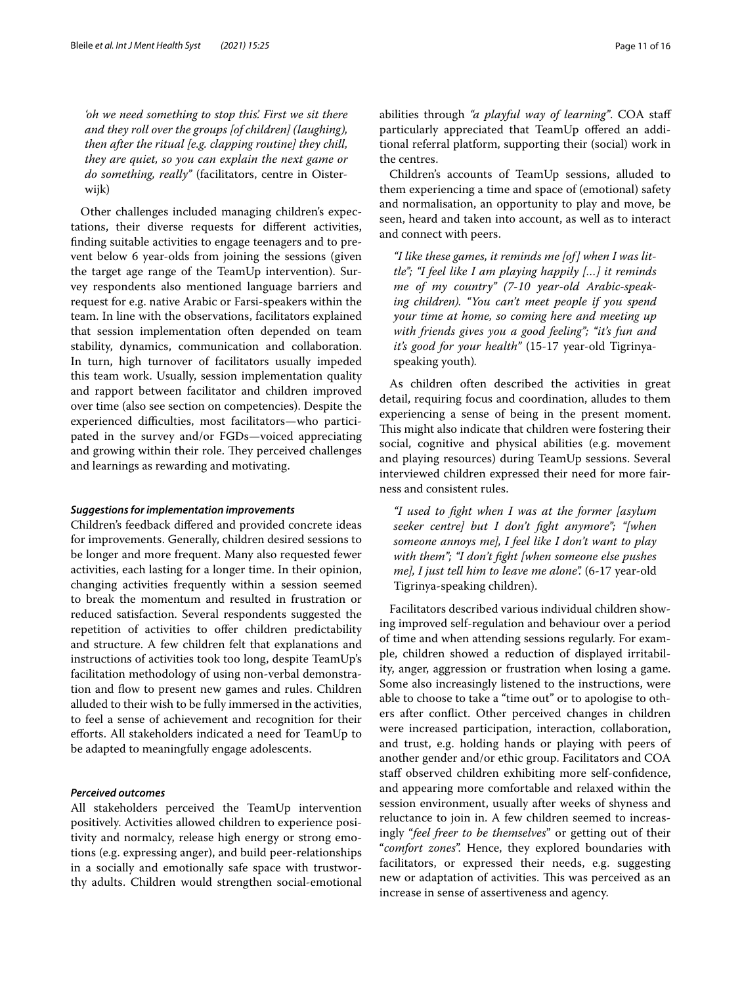*'oh we need something to stop this'. First we sit there and they roll over the groups [of children] (laughing), then after the ritual [e.g. clapping routine] they chill, they are quiet, so you can explain the next game or do something, really"* (facilitators, centre in Oisterwijk)

Other challenges included managing children's expectations, their diverse requests for diferent activities, fnding suitable activities to engage teenagers and to prevent below 6 year-olds from joining the sessions (given the target age range of the TeamUp intervention). Survey respondents also mentioned language barriers and request for e.g. native Arabic or Farsi-speakers within the team. In line with the observations, facilitators explained that session implementation often depended on team stability, dynamics, communication and collaboration. In turn, high turnover of facilitators usually impeded this team work. Usually, session implementation quality and rapport between facilitator and children improved over time (also see section on competencies). Despite the experienced difficulties, most facilitators-who participated in the survey and/or FGDs—voiced appreciating and growing within their role. They perceived challenges and learnings as rewarding and motivating.

#### *Suggestions for implementation improvements*

Children's feedback difered and provided concrete ideas for improvements. Generally, children desired sessions to be longer and more frequent. Many also requested fewer activities, each lasting for a longer time. In their opinion, changing activities frequently within a session seemed to break the momentum and resulted in frustration or reduced satisfaction. Several respondents suggested the repetition of activities to offer children predictability and structure. A few children felt that explanations and instructions of activities took too long, despite TeamUp's facilitation methodology of using non-verbal demonstration and flow to present new games and rules. Children alluded to their wish to be fully immersed in the activities, to feel a sense of achievement and recognition for their eforts. All stakeholders indicated a need for TeamUp to be adapted to meaningfully engage adolescents.

#### *Perceived outcomes*

All stakeholders perceived the TeamUp intervention positively. Activities allowed children to experience positivity and normalcy, release high energy or strong emotions (e.g. expressing anger), and build peer-relationships in a socially and emotionally safe space with trustworthy adults. Children would strengthen social-emotional abilities through *"a playful way of learning"*. COA staf particularly appreciated that TeamUp ofered an additional referral platform, supporting their (social) work in the centres.

Children's accounts of TeamUp sessions, alluded to them experiencing a time and space of (emotional) safety and normalisation, an opportunity to play and move, be seen, heard and taken into account, as well as to interact and connect with peers.

*"I like these games, it reminds me [of] when I was little"; "I feel like I am playing happily […] it reminds me of my country" (7-10 year-old Arabic-speaking children). "You can't meet people if you spend your time at home, so coming here and meeting up with friends gives you a good feeling"; "it's fun and it's good for your health"* (15-17 year-old Tigrinyaspeaking youth)*.*

As children often described the activities in great detail, requiring focus and coordination, alludes to them experiencing a sense of being in the present moment. This might also indicate that children were fostering their social, cognitive and physical abilities (e.g. movement and playing resources) during TeamUp sessions. Several interviewed children expressed their need for more fairness and consistent rules.

*"I used to fght when I was at the former [asylum seeker centre] but I don't fght anymore"; "[when someone annoys me], I feel like I don't want to play with them"; "I don't fght [when someone else pushes me], I just tell him to leave me alone".* (6-17 year-old Tigrinya-speaking children).

Facilitators described various individual children showing improved self-regulation and behaviour over a period of time and when attending sessions regularly. For example, children showed a reduction of displayed irritability, anger, aggression or frustration when losing a game. Some also increasingly listened to the instructions, were able to choose to take a "time out" or to apologise to others after confict. Other perceived changes in children were increased participation, interaction, collaboration, and trust, e.g. holding hands or playing with peers of another gender and/or ethic group. Facilitators and COA staf observed children exhibiting more self-confdence, and appearing more comfortable and relaxed within the session environment, usually after weeks of shyness and reluctance to join in. A few children seemed to increasingly "*feel freer to be themselves*" or getting out of their "*comfort zones*". Hence, they explored boundaries with facilitators, or expressed their needs, e.g. suggesting new or adaptation of activities. This was perceived as an increase in sense of assertiveness and agency.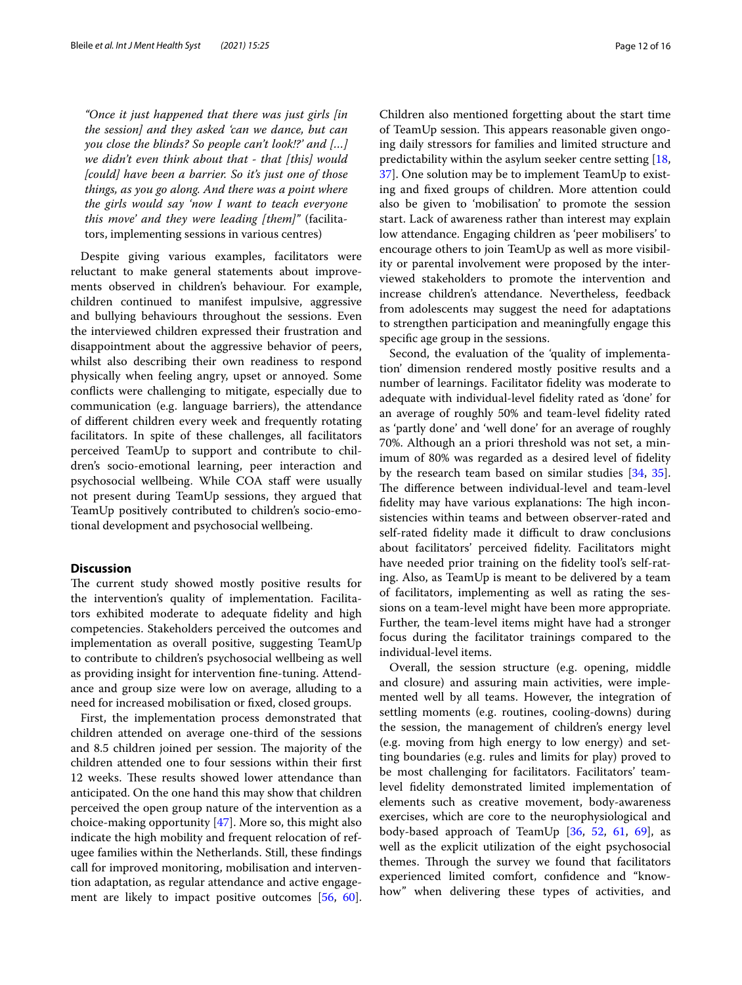*"Once it just happened that there was just girls [in the session] and they asked 'can we dance, but can you close the blinds? So people can't look!?' and […] we didn't even think about that - that [this] would [could] have been a barrier. So it's just one of those things, as you go along. And there was a point where the girls would say 'now I want to teach everyone this move' and they were leading [them]"* (facilitators, implementing sessions in various centres)

Despite giving various examples, facilitators were reluctant to make general statements about improvements observed in children's behaviour. For example, children continued to manifest impulsive, aggressive and bullying behaviours throughout the sessions. Even the interviewed children expressed their frustration and disappointment about the aggressive behavior of peers, whilst also describing their own readiness to respond physically when feeling angry, upset or annoyed. Some conficts were challenging to mitigate, especially due to communication (e.g. language barriers), the attendance of diferent children every week and frequently rotating facilitators. In spite of these challenges, all facilitators perceived TeamUp to support and contribute to children's socio-emotional learning, peer interaction and psychosocial wellbeing. While COA staff were usually not present during TeamUp sessions, they argued that TeamUp positively contributed to children's socio-emotional development and psychosocial wellbeing.

#### **Discussion**

The current study showed mostly positive results for the intervention's quality of implementation. Facilitators exhibited moderate to adequate fdelity and high competencies. Stakeholders perceived the outcomes and implementation as overall positive, suggesting TeamUp to contribute to children's psychosocial wellbeing as well as providing insight for intervention fne-tuning. Attendance and group size were low on average, alluding to a need for increased mobilisation or fxed, closed groups.

First, the implementation process demonstrated that children attended on average one-third of the sessions and 8.5 children joined per session. The majority of the children attended one to four sessions within their frst 12 weeks. These results showed lower attendance than anticipated. On the one hand this may show that children perceived the open group nature of the intervention as a choice-making opportunity [\[47](#page-14-41)]. More so, this might also indicate the high mobility and frequent relocation of refugee families within the Netherlands. Still, these fndings call for improved monitoring, mobilisation and intervention adaptation, as regular attendance and active engage-ment are likely to impact positive outcomes [\[56](#page-15-19), [60](#page-15-9)]. Children also mentioned forgetting about the start time of TeamUp session. This appears reasonable given ongoing daily stressors for families and limited structure and predictability within the asylum seeker centre setting [[18](#page-14-9), [37\]](#page-14-5). One solution may be to implement TeamUp to existing and fxed groups of children. More attention could also be given to 'mobilisation' to promote the session start. Lack of awareness rather than interest may explain low attendance. Engaging children as 'peer mobilisers' to encourage others to join TeamUp as well as more visibility or parental involvement were proposed by the interviewed stakeholders to promote the intervention and increase children's attendance. Nevertheless, feedback from adolescents may suggest the need for adaptations to strengthen participation and meaningfully engage this specifc age group in the sessions.

Second, the evaluation of the 'quality of implementation' dimension rendered mostly positive results and a number of learnings. Facilitator fdelity was moderate to adequate with individual-level fdelity rated as 'done' for an average of roughly 50% and team-level fdelity rated as 'partly done' and 'well done' for an average of roughly 70%. Although an a priori threshold was not set, a minimum of 80% was regarded as a desired level of fdelity by the research team based on similar studies [\[34](#page-14-26), [35](#page-14-27)]. The difference between individual-level and team-level fidelity may have various explanations: The high inconsistencies within teams and between observer-rated and self-rated fidelity made it difficult to draw conclusions about facilitators' perceived fdelity. Facilitators might have needed prior training on the fdelity tool's self-rating. Also, as TeamUp is meant to be delivered by a team of facilitators, implementing as well as rating the sessions on a team-level might have been more appropriate. Further, the team-level items might have had a stronger focus during the facilitator trainings compared to the individual-level items.

Overall, the session structure (e.g. opening, middle and closure) and assuring main activities, were implemented well by all teams. However, the integration of settling moments (e.g. routines, cooling-downs) during the session, the management of children's energy level (e.g. moving from high energy to low energy) and setting boundaries (e.g. rules and limits for play) proved to be most challenging for facilitators. Facilitators' teamlevel fdelity demonstrated limited implementation of elements such as creative movement, body-awareness exercises, which are core to the neurophysiological and body-based approach of TeamUp [[36,](#page-14-36) [52,](#page-15-12) [61](#page-15-20), [69\]](#page-15-11), as well as the explicit utilization of the eight psychosocial themes. Through the survey we found that facilitators experienced limited comfort, confdence and "knowhow" when delivering these types of activities, and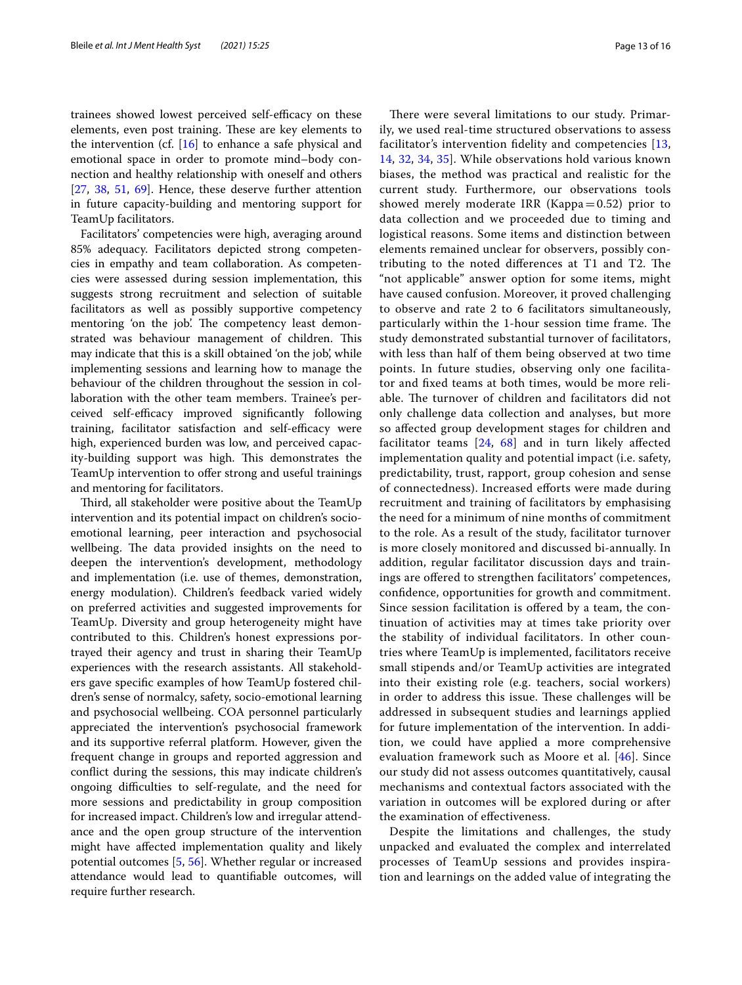trainees showed lowest perceived self-efficacy on these elements, even post training. These are key elements to the intervention (cf. [\[16](#page-14-32)] to enhance a safe physical and emotional space in order to promote mind–body connection and healthy relationship with oneself and others [[27,](#page-14-31) [38,](#page-14-34) [51,](#page-15-10) [69\]](#page-15-11). Hence, these deserve further attention in future capacity-building and mentoring support for TeamUp facilitators.

Facilitators' competencies were high, averaging around 85% adequacy. Facilitators depicted strong competencies in empathy and team collaboration. As competencies were assessed during session implementation, this suggests strong recruitment and selection of suitable facilitators as well as possibly supportive competency mentoring 'on the job'. The competency least demonstrated was behaviour management of children. This may indicate that this is a skill obtained 'on the job', while implementing sessions and learning how to manage the behaviour of the children throughout the session in collaboration with the other team members. Trainee's perceived self-efficacy improved significantly following training, facilitator satisfaction and self-efficacy were high, experienced burden was low, and perceived capacity-building support was high. This demonstrates the TeamUp intervention to offer strong and useful trainings and mentoring for facilitators.

Third, all stakeholder were positive about the TeamUp intervention and its potential impact on children's socioemotional learning, peer interaction and psychosocial wellbeing. The data provided insights on the need to deepen the intervention's development, methodology and implementation (i.e. use of themes, demonstration, energy modulation). Children's feedback varied widely on preferred activities and suggested improvements for TeamUp. Diversity and group heterogeneity might have contributed to this. Children's honest expressions portrayed their agency and trust in sharing their TeamUp experiences with the research assistants. All stakeholders gave specifc examples of how TeamUp fostered children's sense of normalcy, safety, socio-emotional learning and psychosocial wellbeing. COA personnel particularly appreciated the intervention's psychosocial framework and its supportive referral platform. However, given the frequent change in groups and reported aggression and confict during the sessions, this may indicate children's ongoing difculties to self-regulate, and the need for more sessions and predictability in group composition for increased impact. Children's low and irregular attendance and the open group structure of the intervention might have afected implementation quality and likely potential outcomes [\[5](#page-14-42), [56\]](#page-15-19). Whether regular or increased attendance would lead to quantifable outcomes, will require further research.

There were several limitations to our study. Primarily, we used real-time structured observations to assess facilitator's intervention fdelity and competencies [\[13](#page-14-23), [14,](#page-14-24) [32](#page-14-25), [34,](#page-14-26) [35\]](#page-14-27). While observations hold various known biases, the method was practical and realistic for the current study. Furthermore, our observations tools showed merely moderate IRR (Kappa $=0.52$ ) prior to data collection and we proceeded due to timing and logistical reasons. Some items and distinction between elements remained unclear for observers, possibly contributing to the noted differences at  $T1$  and  $T2$ . The "not applicable" answer option for some items, might have caused confusion. Moreover, it proved challenging to observe and rate 2 to 6 facilitators simultaneously, particularly within the 1-hour session time frame. The study demonstrated substantial turnover of facilitators, with less than half of them being observed at two time points. In future studies, observing only one facilitator and fxed teams at both times, would be more reliable. The turnover of children and facilitators did not only challenge data collection and analyses, but more so afected group development stages for children and facilitator teams  $[24, 68]$  $[24, 68]$  $[24, 68]$  and in turn likely affected implementation quality and potential impact (i.e. safety, predictability, trust, rapport, group cohesion and sense of connectedness). Increased eforts were made during recruitment and training of facilitators by emphasising the need for a minimum of nine months of commitment to the role. As a result of the study, facilitator turnover is more closely monitored and discussed bi-annually. In addition, regular facilitator discussion days and trainings are ofered to strengthen facilitators' competences, confdence, opportunities for growth and commitment. Since session facilitation is ofered by a team, the continuation of activities may at times take priority over the stability of individual facilitators. In other countries where TeamUp is implemented, facilitators receive small stipends and/or TeamUp activities are integrated into their existing role (e.g. teachers, social workers) in order to address this issue. These challenges will be addressed in subsequent studies and learnings applied for future implementation of the intervention. In addition, we could have applied a more comprehensive evaluation framework such as Moore et al. [[46\]](#page-14-21). Since our study did not assess outcomes quantitatively, causal mechanisms and contextual factors associated with the variation in outcomes will be explored during or after the examination of efectiveness.

Despite the limitations and challenges, the study unpacked and evaluated the complex and interrelated processes of TeamUp sessions and provides inspiration and learnings on the added value of integrating the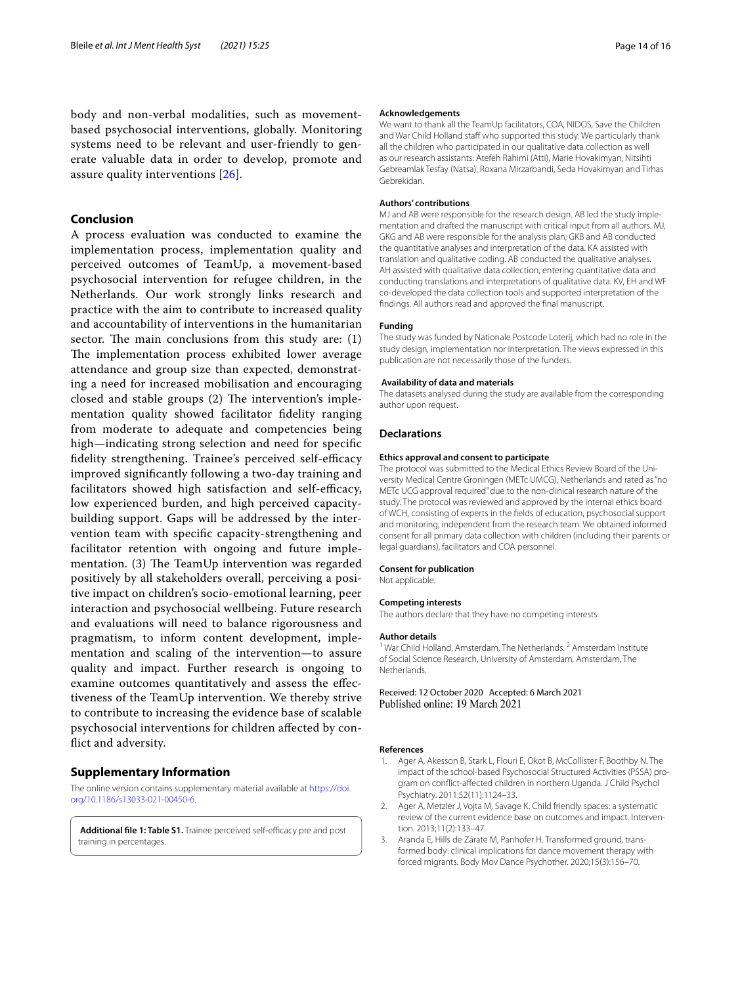body and non-verbal modalities, such as movementbased psychosocial interventions, globally. Monitoring systems need to be relevant and user-friendly to generate valuable data in order to develop, promote and assure quality interventions [[26](#page-14-43)].

#### **Conclusion**

A process evaluation was conducted to examine the implementation process, implementation quality and perceived outcomes of TeamUp, a movement-based psychosocial intervention for refugee children, in the Netherlands. Our work strongly links research and practice with the aim to contribute to increased quality and accountability of interventions in the humanitarian sector. The main conclusions from this study are:  $(1)$ The implementation process exhibited lower average attendance and group size than expected, demonstrating a need for increased mobilisation and encouraging closed and stable groups  $(2)$  The intervention's implementation quality showed facilitator fdelity ranging from moderate to adequate and competencies being high—indicating strong selection and need for specifc fidelity strengthening. Trainee's perceived self-efficacy improved signifcantly following a two-day training and facilitators showed high satisfaction and self-efficacy, low experienced burden, and high perceived capacitybuilding support. Gaps will be addressed by the intervention team with specifc capacity-strengthening and facilitator retention with ongoing and future implementation.  $(3)$  The TeamUp intervention was regarded positively by all stakeholders overall, perceiving a positive impact on children's socio-emotional learning, peer interaction and psychosocial wellbeing. Future research and evaluations will need to balance rigorousness and pragmatism, to inform content development, implementation and scaling of the intervention—to assure quality and impact. Further research is ongoing to examine outcomes quantitatively and assess the efectiveness of the TeamUp intervention. We thereby strive to contribute to increasing the evidence base of scalable psychosocial interventions for children afected by confict and adversity.

#### **Supplementary Information**

The online version contains supplementary material available at [https://doi.](https://doi.org/10.1186/s13033-021-00450-6) [org/10.1186/s13033-021-00450-6](https://doi.org/10.1186/s13033-021-00450-6).

<span id="page-13-3"></span>Additional file 1: Table S1. Trainee perceived self-efficacy pre and post training in percentages.

#### **Acknowledgements**

We want to thank all the TeamUp facilitators, COA, NIDOS, Save the Children and War Child Holland staff who supported this study. We particularly thank all the children who participated in our qualitative data collection as well as our research assistants: Atefeh Rahimi (Atti), Marie Hovakimyan, Nitsihti Gebreamlak Tesfay (Natsa), Roxana Mirzarbandi, Seda Hovakimyan and Tirhas Gebrekidan.

#### **Authors' contributions**

MJ and AB were responsible for the research design. AB led the study implementation and drafted the manuscript with critical input from all authors. MJ, GKG and AB were responsible for the analysis plan; GKB and AB conducted the quantitative analyses and interpretation of the data. KA assisted with translation and qualitative coding. AB conducted the qualitative analyses. AH assisted with qualitative data collection, entering quantitative data and conducting translations and interpretations of qualitative data. KV, EH and WF co-developed the data collection tools and supported interpretation of the fndings. All authors read and approved the fnal manuscript.

#### **Funding**

The study was funded by Nationale Postcode Loterij, which had no role in the study design, implementation nor interpretation. The views expressed in this publication are not necessarily those of the funders.

#### **Availability of data and materials**

The datasets analysed during the study are available from the corresponding author upon request.

#### **Declarations**

#### **Ethics approval and consent to participate**

The protocol was submitted to the Medical Ethics Review Board of the University Medical Centre Groningen (METc UMCG), Netherlands and rated as "no METc UCG approval required" due to the non-clinical research nature of the study. The protocol was reviewed and approved by the internal ethics board of WCH, consisting of experts in the felds of education, psychosocial support and monitoring, independent from the research team. We obtained informed consent for all primary data collection with children (including their parents or legal guardians), facilitators and COA personnel.

#### **Consent for publication**

Not applicable.

#### **Competing interests**

The authors declare that they have no competing interests.

#### **Author details**

<sup>1</sup> War Child Holland, Amsterdam, The Netherlands. <sup>2</sup> Amsterdam Institute of Social Science Research, University of Amsterdam, Amsterdam, The **Netherlands** 

Received: 12 October 2020 Accepted: 6 March 2021 Published online: 19 March 2021

#### **References**

- <span id="page-13-2"></span>1. Ager A, Akesson B, Stark L, Flouri E, Okot B, McCollister F, Boothby N. The impact of the school-based Psychosocial Structured Activities (PSSA) program on confict-afected children in northern Uganda. J Child Psychol Psychiatry. 2011;52(11):1124–33.
- <span id="page-13-1"></span>2. Ager A, Metzler J, Vojta M, Savage K. Child friendly spaces: a systematic review of the current evidence base on outcomes and impact. Intervention. 2013;11(2):133–47.
- <span id="page-13-0"></span>3. Aranda E, Hills de Zárate M, Panhofer H. Transformed ground, transformed body: clinical implications for dance movement therapy with forced migrants. Body Mov Dance Psychother. 2020;15(3):156–70.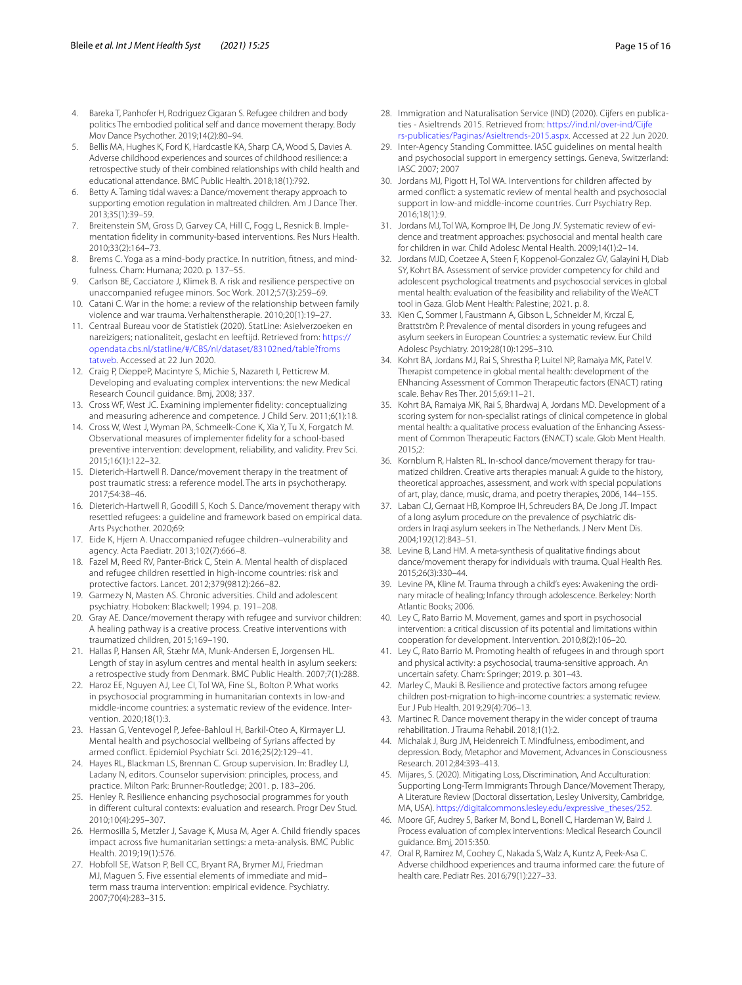- <span id="page-14-16"></span>4. Bareka T, Panhofer H, Rodriguez Cigaran S. Refugee children and body politics The embodied political self and dance movement therapy. Body Mov Dance Psychother. 2019;14(2):80–94.
- <span id="page-14-42"></span>5. Bellis MA, Hughes K, Ford K, Hardcastle KA, Sharp CA, Wood S, Davies A. Adverse childhood experiences and sources of childhood resilience: a retrospective study of their combined relationships with child health and educational attendance. BMC Public Health. 2018;18(1):792.
- <span id="page-14-35"></span>6. Betty A. Taming tidal waves: a Dance/movement therapy approach to supporting emotion regulation in maltreated children. Am J Dance Ther. 2013;35(1):39–59.
- <span id="page-14-22"></span>7. Breitenstein SM, Gross D, Garvey CA, Hill C, Fogg L, Resnick B. Implementation fdelity in community-based interventions. Res Nurs Health. 2010;33(2):164–73.
- <span id="page-14-38"></span>Brems C. Yoga as a mind-body practice. In nutrition, fitness, and mindfulness. Cham: Humana; 2020. p. 137–55.
- <span id="page-14-2"></span>9. Carlson BE, Cacciatore J, Klimek B. A risk and resilience perspective on unaccompanied refugee minors. Soc Work. 2012;57(3):259–69.
- <span id="page-14-7"></span>10. Catani C. War in the home: a review of the relationship between family violence and war trauma. Verhaltenstherapie. 2010;20(1):19–27.
- <span id="page-14-1"></span>11. Centraal Bureau voor de Statistiek (2020). StatLine: Asielverzoeken en nareizigers; nationaliteit, geslacht en leeftijd. Retrieved from: [https://](https://opendata.cbs.nl/statline/#/CBS/nl/dataset/83102ned/table%3ffromstatweb) [opendata.cbs.nl/statline/#/CBS/nl/dataset/83102ned/table?froms](https://opendata.cbs.nl/statline/#/CBS/nl/dataset/83102ned/table%3ffromstatweb) [tatweb](https://opendata.cbs.nl/statline/#/CBS/nl/dataset/83102ned/table%3ffromstatweb). Accessed at 22 Jun 2020.
- <span id="page-14-20"></span>12. Craig P, DieppeP, Macintyre S, Michie S, Nazareth I, Petticrew M. Developing and evaluating complex interventions: the new Medical Research Council guidance. Bmj, 2008; 337.
- <span id="page-14-23"></span>13. Cross WF, West JC. Examining implementer fdelity: conceptualizing and measuring adherence and competence. J Child Serv. 2011;6(1):18.
- <span id="page-14-24"></span>14. Cross W, West J, Wyman PA, Schmeelk-Cone K, Xia Y, Tu X, Forgatch M. Observational measures of implementer fdelity for a school-based preventive intervention: development, reliability, and validity. Prev Sci. 2015;16(1):122–32.
- <span id="page-14-18"></span>15. Dieterich-Hartwell R. Dance/movement therapy in the treatment of post traumatic stress: a reference model. The arts in psychotherapy. 2017;54:38–46.
- <span id="page-14-32"></span>16. Dieterich-Hartwell R, Goodill S, Koch S. Dance/movement therapy with resettled refugees: a guideline and framework based on empirical data. Arts Psychother. 2020;69:
- <span id="page-14-3"></span>17. Eide K, Hjern A. Unaccompanied refugee children–vulnerability and agency. Acta Paediatr. 2013;102(7):666–8.
- <span id="page-14-9"></span>18. Fazel M, Reed RV, Panter-Brick C, Stein A. Mental health of displaced and refugee children resettled in high-income countries: risk and protective factors. Lancet. 2012;379(9812):266–82.
- <span id="page-14-8"></span>19. Garmezy N, Masten AS. Chronic adversities. Child and adolescent psychiatry. Hoboken: Blackwell; 1994. p. 191–208.
- <span id="page-14-19"></span>20. Gray AE. Dance/movement therapy with refugee and survivor children: A healing pathway is a creative process. Creative interventions with traumatized children, 2015;169–190.
- <span id="page-14-4"></span>21. Hallas P, Hansen AR, Stæhr MA, Munk-Andersen E, Jorgensen HL. Length of stay in asylum centres and mental health in asylum seekers: a retrospective study from Denmark. BMC Public Health. 2007;7(1):288.
- <span id="page-14-11"></span>22. Haroz EE, Nguyen AJ, Lee CI, Tol WA, Fine SL, Bolton P. What works in psychosocial programming in humanitarian contexts in low-and middle-income countries: a systematic review of the evidence. Intervention. 2020;18(1):3.
- <span id="page-14-33"></span>23. Hassan G, Ventevogel P, Jefee-Bahloul H, Barkil-Oteo A, Kirmayer LJ. Mental health and psychosocial wellbeing of Syrians afected by armed confict. Epidemiol Psychiatr Sci. 2016;25(2):129–41.
- <span id="page-14-40"></span>24. Hayes RL, Blackman LS, Brennan C. Group supervision. In: Bradley LJ, Ladany N, editors. Counselor supervision: principles, process, and practice. Milton Park: Brunner-Routledge; 2001. p. 183–206.
- <span id="page-14-12"></span>25. Henley R. Resilience enhancing psychosocial programmes for youth in diferent cultural contexts: evaluation and research. Progr Dev Stud. 2010;10(4):295–307.
- <span id="page-14-43"></span>26. Hermosilla S, Metzler J, Savage K, Musa M, Ager A. Child friendly spaces impact across fve humanitarian settings: a meta-analysis. BMC Public Health. 2019;19(1):576.
- <span id="page-14-31"></span>27. Hobfoll SE, Watson P, Bell CC, Bryant RA, Brymer MJ, Friedman MJ, Maguen S. Five essential elements of immediate and mid– term mass trauma intervention: empirical evidence. Psychiatry. 2007;70(4):283–315.
- <span id="page-14-0"></span>28. Immigration and Naturalisation Service (IND) (2020). Cijfers en publicaties - Asieltrends 2015. Retrieved from: [https://ind.nl/over-ind/Cijfe](https://ind.nl/over-ind/Cijfers-publicaties/Paginas/Asieltrends-2015.aspx) [rs-publicaties/Paginas/Asieltrends-2015.aspx.](https://ind.nl/over-ind/Cijfers-publicaties/Paginas/Asieltrends-2015.aspx) Accessed at 22 Jun 2020.
- <span id="page-14-10"></span>29. Inter-Agency Standing Committee. IASC guidelines on mental health and psychosocial support in emergency settings. Geneva, Switzerland: IASC 2007; 2007
- <span id="page-14-13"></span>30. Jordans MJ, Pigott H, Tol WA. Interventions for children afected by armed confict: a systematic review of mental health and psychosocial support in low-and middle-income countries. Curr Psychiatry Rep. 2016;18(1):9.
- <span id="page-14-14"></span>31. Jordans MJ, Tol WA, Komproe IH, De Jong JV. Systematic review of evidence and treatment approaches: psychosocial and mental health care for children in war. Child Adolesc Mental Health. 2009;14(1):2–14.
- <span id="page-14-25"></span>32. Jordans MJD, Coetzee A, Steen F, Koppenol-Gonzalez GV, Galayini H, Diab SY, Kohrt BA. Assessment of service provider competency for child and adolescent psychological treatments and psychosocial services in global mental health: evaluation of the feasibility and reliability of the WeACT tool in Gaza. Glob Ment Health: Palestine; 2021. p. 8.
- <span id="page-14-6"></span>33. Kien C, Sommer I, Faustmann A, Gibson L, Schneider M, Krczal E, Brattström P. Prevalence of mental disorders in young refugees and asylum seekers in European Countries: a systematic review. Eur Child Adolesc Psychiatry. 2019;28(10):1295–310.
- <span id="page-14-26"></span>34. Kohrt BA, Jordans MJ, Rai S, Shrestha P, Luitel NP, Ramaiya MK, Patel V. Therapist competence in global mental health: development of the ENhancing Assessment of Common Therapeutic factors (ENACT) rating scale. Behav Res Ther. 2015;69:11–21.
- <span id="page-14-27"></span>35. Kohrt BA, Ramaiya MK, Rai S, Bhardwaj A, Jordans MD. Development of a scoring system for non-specialist ratings of clinical competence in global mental health: a qualitative process evaluation of the Enhancing Assessment of Common Therapeutic Factors (ENACT) scale. Glob Ment Health. 2015;2:
- <span id="page-14-36"></span>36. Kornblum R, Halsten RL. In-school dance/movement therapy for traumatized children. Creative arts therapies manual: A guide to the history, theoretical approaches, assessment, and work with special populations of art, play, dance, music, drama, and poetry therapies, 2006, 144–155.
- <span id="page-14-5"></span>37. Laban CJ, Gernaat HB, Komproe IH, Schreuders BA, De Jong JT. Impact of a long asylum procedure on the prevalence of psychiatric disorders in Iraqi asylum seekers in The Netherlands. J Nerv Ment Dis. 2004;192(12):843–51.
- <span id="page-14-34"></span>38. Levine B, Land HM. A meta-synthesis of qualitative fndings about dance/movement therapy for individuals with trauma. Qual Health Res. 2015;26(3):330–44.
- <span id="page-14-28"></span>39. Levine PA, Kline M. Trauma through a child's eyes: Awakening the ordinary miracle of healing; Infancy through adolescence. Berkeley: North Atlantic Books; 2006.
- <span id="page-14-15"></span>40. Ley C, Rato Barrio M. Movement, games and sport in psychosocial intervention: a critical discussion of its potential and limitations within cooperation for development. Intervention. 2010;8(2):106–20.
- <span id="page-14-29"></span>41. Ley C, Rato Barrio M. Promoting health of refugees in and through sport and physical activity: a psychosocial, trauma-sensitive approach. An uncertain safety. Cham: Springer; 2019. p. 301–43.
- <span id="page-14-30"></span>42. Marley C, Mauki B. Resilience and protective factors among refugee children post-migration to high-income countries: a systematic review. Eur J Pub Health. 2019;29(4):706–13.
- <span id="page-14-37"></span>43. Martinec R. Dance movement therapy in the wider concept of trauma rehabilitation. J Trauma Rehabil. 2018;1(1):2.
- <span id="page-14-39"></span>44. Michalak J, Burg JM, Heidenreich T. Mindfulness, embodiment, and depression. Body, Metaphor and Movement, Advances in Consciousness Research. 2012;84:393–413.
- <span id="page-14-17"></span>45. Mijares, S. (2020). Mitigating Loss, Discrimination, And Acculturation: Supporting Long-Term Immigrants Through Dance/Movement Therapy, A Literature Review (Doctoral dissertation, Lesley University, Cambridge, MA, USA). [https://digitalcommons.lesley.edu/expressive\\_theses/252](https://digitalcommons.lesley.edu/expressive_theses/252).
- <span id="page-14-21"></span>46. Moore GF, Audrey S, Barker M, Bond L, Bonell C, Hardeman W, Baird J. Process evaluation of complex interventions: Medical Research Council guidance. Bmj, 2015:350.
- <span id="page-14-41"></span>47. Oral R, Ramirez M, Coohey C, Nakada S, Walz A, Kuntz A, Peek-Asa C. Adverse childhood experiences and trauma informed care: the future of health care. Pediatr Res. 2016;79(1):227–33.